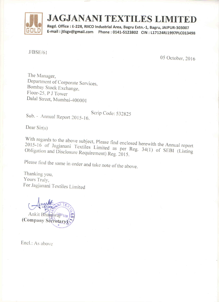

Regd. Office: E-228, RIICO Industrial Area, Bagru Extn.-1, Bagru, JAIPUR-303007 

 $J/BSE/61$ 

05 October, 2016

The Manager, Department of Corporate Services, Bombay Stock Exchange, Floor-25, P J Tower Dalal Street, Mumbai-400001

Scrip Code: 532825 Sub. - Annual Report 2015-16.

Dear  $Sir(s)$ 

With regards to the above subject, Please find enclosed herewith the Annual report 2015-16 of Jagjanani Textiles Limited as per Reg. 34(1) of SEBI (Listing Obligation and Disclosure Requirement) Reg. 2015.

Please find the same in order and take note of the above.

Thanking you, Yours Truly, For Jagjanani Textiles Limited

Ankit BhardwalPu (Company Secretary

Encl.: As above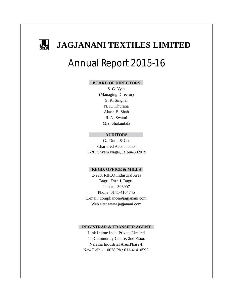

## Annual Report 2015-16

### **BOARD OF DIRECTORS**

S. G. Vyas (Managing Director) S. K. Singhal N. K. Khurana Akash B. Shah R. N. Swami Mrs. Shakuntala

### **AUDITORS**

G. Dutta & Co. Chartered Accountants G-26, Shyam Nagar, Jaipur-302019

### **REGD. OFFICE & MILLS**

E-228, RIICO Industrial Area Bagru Extn-I, Bagru Jaipur – 303007 Phone: 0141-4104745 E-mail: compliance@jagjanani.com Web site: www.jagjanani.com

### **REGISTRAR & TRANSFER AGENT**

Link Intime India Private Limited 44, Community Centre, 2nd Floor, Naraina Industrial Area,Phase-I, New Delhi-110028 Ph.: 011-41410592,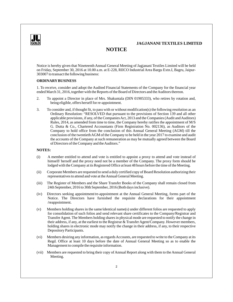

### **NOTICE**

Notice is hereby given that Nineteenth Annual General Meeting of Jagjanani Textiles Limited will be held on Friday, September 30, 2016 at 10.00 a.m. at E-228, RIICO Industrial Area Bargu Extn.I, Bagru, Jaipur-303007 to transact the following business:

### **ORDINARYBUSINESS**

1. To receive, consider and adopt the Audited Financial Statements of the Company for the financial year ended March 31, 2016, together with the Reports of the Board of Directors and the Auditors thereon.

- 2. To appoint a Director in place of Mrs. Shakuntala (DIN 01905333), who retires by rotation and, being eligible, offers herself for re-appointment.
- 3. To consider and, if thought fit, to pass with or without modification(s) the following resolution as an Ordinary Resolution: "RESOLVED that pursuant to the provisions of Section 139 and all other applicable provisions, if any, of the Companies Act, 2013 and the Companies (Audit and Auditors) Rules, 2014, as amended from time to time, the Company hereby ratifies the appointment of M/S G. Dutta & Co., Chartered Accountants (Firm Registration No. 002136), as Auditors of the Company to hold office from the conclusion of this Annual General Meeting (AGM) till the conclusion of the twentieth AGM of the Company to be held in the year 2017 to examine and audit the accounts of the Company at such remuneration as may be mutually agreed between the Board of Directors of the Company and the Auditors."

### **NOTES:**

- (i) A member entitled to attend and vote is entitled to appoint a proxy to attend and vote instead of himself/ herself and the proxy need not be a member of the Company. The proxy form should be lodged with the Company at its Registered Office at least 48 hours before the time of the Meeting.
- (ii) Corporate Members are requested to send a duly certified copy of Board Resolution authorizing their representatives to attend and vote at the Annual General Meeting.
- (iii) The Register of Members and the Share Transfer Books of the Company shall remain closed from 24th September, 2016 to 30th September, 2016 (Both days inclusive).
- (iv) Directors seeking appointment/re-appointment at the Annual General Meeting, forms part of the Notice. The Directors have furnished the requisite declarations for their appointment /reappointment.
- (v) Members holding shares in the same/identical name(s) under different folios are requested to apply for consolidation of such folios and send relevant share certificates to the Company/Registrar and Transfer Agent. The Members holding shares in physical mode are requested to notify the change in their address, if any, at the earliest to the Registrar & Transfer Agent/Company. However members, holding shares in electronic mode may notify the change in their address, if any, to their respective Depository Participants.
- (vi) Members desiring any information, as regards Accounts, are requested to write to the Company at its Regd. Office at least 10 days before the date of Annual General Meeting so as to enable the Management to compile the requisite information.
- (vii) Members are requested to bring their copy of Annual Report along with them to the Annual General Meeting.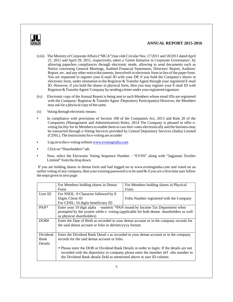

- (viii) The Ministry of Corporate Affairs ("MCA") has vide Circular Nos. 17/2011 and 18/2011 dated April 21, 2011 and April 29, 2011, respectively, taken a 'Green Initiative in Corporate Governance', by allowing paperless compliances through electronic mode, allowing to send documents such as Notice convening General Meetings, Audited Financial Statements, Directors' Report, Auditors' Report, etc. and any other notice/documents, henceforth in electronic form in lieu of the paper form. You are requested to register your E-mail ID with your DP, if you hold the Company's shares in electronic form, under intimation to the Registrar & Transfer Agent through your registered E-mail ID. However, if you hold the shares in physical form, then you may register your E-mail ID with Registrar & Transfer Agent/ Company by sending a letter under your registered signature.
- (ix) Electronic copy of the Annual Report is being sent to such Members whose email IDs are registered with the Company/ Registrar & Transfer Agent /Depository Participant(s) However, the Members may ask for a physical copy of the same.
- (x) Voting through electronic means:
- In compliance with provisions of Section 108 of the Companies Act, 2013 and Rule 20 of the Companies (Management and Administration) Rules, 2014 The Company is pleased to offer evoting facility for its Members to enable them to cast their votes electronically and the business may be transacted through e-Voting Services provided by Central Depository Services (India) Limited (CDSL). The instructions for e-voting are as under
- Log on to the e-voting website www.evotingindia.com
- Click on "Shareholders" tab.
- Now, select the Electronic Voting Sequence Number "EVSN" along with "Jagjanani Textiles Limited" from the drop down.

If you are holding shares in demat form and had logged on to www.evotingindia.com and voted on an earlier voting of any company, then your existing password is to be used  $\&$  if you are a first time user follow the steps given in next page:

|                | For Members holding shares in Demat                                                       | For Members holding shares in Physical                                                 |  |  |
|----------------|-------------------------------------------------------------------------------------------|----------------------------------------------------------------------------------------|--|--|
|                | Form                                                                                      | Form                                                                                   |  |  |
| User ID        | For NSDL: 8 Character followed by 8                                                       |                                                                                        |  |  |
|                | Digits Client ID                                                                          | Folio Number registered with the Company                                               |  |  |
|                | For CDSL: 16 digits beneficiary ID                                                        |                                                                                        |  |  |
| $PAN*$         | Enter your 10 digit alpha -numeric *PAN issued by Income Tax Department when              |                                                                                        |  |  |
|                |                                                                                           | prompted by the system while e -voting (applicable for both demat shareholders as well |  |  |
|                | as physical shareholders)                                                                 |                                                                                        |  |  |
| DOB#           | Enter the Date of Birth as recorded in your demat account or in the company records for   |                                                                                        |  |  |
|                | the said demat account or folio in dd/mm/yyyy format.                                     |                                                                                        |  |  |
|                |                                                                                           |                                                                                        |  |  |
| Dividend       | Enter the Dividend Bank Detail s as recorded in your demat account or in the company      |                                                                                        |  |  |
| Bank           | records for the said demat account or folio.                                              |                                                                                        |  |  |
| <b>Details</b> |                                                                                           |                                                                                        |  |  |
|                | • Please enter the DOB or Dividend Bank Details in order to login. If the details are not |                                                                                        |  |  |
|                | recorded with the depository or company please enter the member id/f olio number in       |                                                                                        |  |  |
|                | the Dividend Bank details field as mentioned above in user ID column.                     |                                                                                        |  |  |
|                |                                                                                           |                                                                                        |  |  |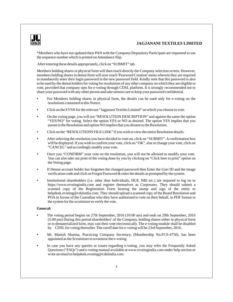

\*Members who have not updated their PAN with the Company/Depository Participant are requested to use the sequence number which is printed on Attendance Slip.

After entering these details appropriately, click on "SUBMIT" tab.

Members holding shares in physical form will then reach directly the Company selection screen. However, members holding shares in demat form will now reach 'Password Creation' menu wherein they are required to mandatorily enter their login password in the new password field. Kindly note that this password is also to be used by the demat holders for voting for resolutions of any other company on which they are eligible to vote, provided that company opts for e-voting through CDSL platform. It is strongly recommended not to share your password with any other person and take utmost care to keep your password confidential.

- For Members holding shares in physical form, the details can be used only for e-voting on the resolutions contained in this Notice.
- Click on the EVSN for the relevant "Jagjanani Textiles Limited" on which you choose to vote.
- On the voting page, you will see "RESOLUTION DESCRIPTION" and against the same the option "YES/NO" for voting. Select the option YES or NO as desired. The option YES implies that you assent to the Resolution and option NO implies that you dissent to the Resolution.
- Click on the "RESOLUTIONS FILE LINK" if you wish to view the entire Resolution details.
- After selecting the resolution you have decided to vote on, click on "SUBMIT". Aconfirmation box will be displayed. If you wish to confirm your vote, click on "OK", else to change your vote, click on "CANCEL" and accordingly modify your vote.
- Once you "CONFIRM" your vote on the resolution, you will not be allowed to modify your vote. You can also take out print of the voting done by you by clicking on "Click here to print" option on the Voting page.
- If Demat account holder has forgotten the changed password then Enter the User ID and the image verification code and click on Forgot Password & enter the details as prompted by the system.
- Institutional shareholders (i.e. other than Individuals, HUF, NRI etc.) are required to log on to https://www.evotingindia.com and register themselves as Corporates. They should submit a scanned copy of the Registration Form bearing the stamp and sign of the entity to helpdesk.evoting@cdslindia.com. They should upload a scanned copy of the Board Resolution and POA in favour of the Custodian who they have authorised to vote on their behalf, in PDF format in the system for the scrutinizer to verify the vote.

#### **General:**

- The voting period begins on 27th September, 2016 (10:00 am) and ends on 29th September, 2016 (5:00 pm) During this period shareholders' of the Company, holding shares either in physical form or in dematerialized form, may cast their vote electronically. The e-voting module shall be disabled by CDSLfor voting thereafter. The cutoff date for e-voting will be 23rd September, 2016.
- Mr. Manish Sharma, Practicing Company Secretary, (Membership No.FCS-4750), has been appointed as the Scrutinizer to scrutinize the e-voting.
- In case you have any queries or issues regarding e-voting, you may refer the Frequently Asked Questions ("FAQs") and e-voting manual available at www.evotingindia.com under help section or write an email to helpdesk.evoting@cdslindia.com.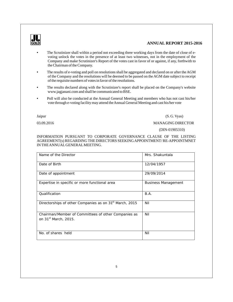

- The Scrutinizer shall within a period not exceeding three working days from the date of close of evoting unlock the votes in the presence of at least two witnesses, not in the employment of the Company and make Scrutinizer's Report of the votes cast in favor of or against, if any, forthwith to the Chairman of the Company.
- The results of e-voting and poll on resolutions shall be aggregated and declared on or after the AGM of the Company and the resolutions will be deemed to be passed on the AGM date subject to receipt of the requisite numbers of votes in favor of the resolutions.
- The results declared along with the Scrutinizer's report shall be placed on the Company's website www.jagjanani.com and shall be communicated to BSE.
- Poll will also be conducted at the Annual General Meeting and members who has not cast his/her vote through e-voting facility may attend the Annual General Meeting and cast his/her vote

### Jaipur (S. G. Vyas)

03.09.2016 MANAGING DIRECTOR

(DIN-01905310)

INFORMATION PURSUANT TO CORPORATE GOVERNANCE CLAUSE OF THE LISTING AGREEMENT(s) REGARDING THE DIRECTORS SEEKING APPOINTMENT/ RE-APPOINTMNET IN THE ANNUALGENERALMEETING.

| Name of the Director                                                                    | Mrs. Shakuntala            |
|-----------------------------------------------------------------------------------------|----------------------------|
| Date of Birth                                                                           | 12/04/1957                 |
| Date of appointment                                                                     | 29/09/2014                 |
| Expertise in specific or more functional area                                           | <b>Business Management</b> |
| Qualification                                                                           | B.A.                       |
| Directorships of other Companies as on 31 <sup>st</sup> March, 2015                     | Nil                        |
| Chairman/Member of Committees of other Companies as<br>on 31 <sup>st</sup> March, 2015. | Nil                        |
| No. of shares held                                                                      | Nil                        |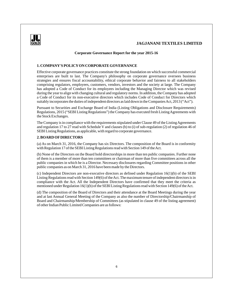

#### **Corporate Governance Report for the year 2015-16**

### **1. COMPANY'S POLICYON CORPORATE GOVERNANCE**

Effective corporate governance practices constitute the strong foundation on which successful commercial enterprises are built to last. The Company's philosophy on corporate governance oversees business strategies and ensures fiscal accountability, ethical corporate behavior and fairness to all stakeholders comprising regulators, employees, customers, vendors, investors and the society at large. The Company has adopted a Code of Conduct for its employees including the Managing Director which was revised during the year to align with changing cultural and regulatory norms. In addition, the Company has adopted a Code of Conduct for its non-executive directors which includes Code of Conduct for Directors which suitably incorporates the duties of independent directors as laid down in the Companies Act, 2013 ("Act").

Pursuant to Securities and Exchange Board of India (Listing Obligations and Disclosure Requirements) Regulations, 2015 ("SEBI Listing Regulations") the Company has executed fresh Listing Agreements with the Stock Exchanges.

The Company is in compliance with the requirements stipulated under Clause 49 of the Listing Agreements and regulation 17 to 27 read with Schedule V and clauses (b) to (i) of sub-regulation (2) of regulation 46 of SEBI Listing Regulations, as applicable, with regard to corporate governance.

### **2. BOARD OFDIRECTORS**

(a) As on March 31, 2016, the Company has six Directors. The composition of the Board is in conformity with Regulation 17 of the SEBI Listing Regulations read with Section 149 of the Act.

(b) None of the Directors on the Board hold directorships in more than ten public companies. Further none of them is a member of more than ten committees or chairman of more than five committees across all the public companies in which he is a Director. Necessary disclosures regarding Committee positions in other public companies as on March 31, 2016 have been made by the Directors.

(c) Independent Directors are non-executive directors as defined under Regulation 16(1)(b) of the SEBI Listing Regulations read with Section 149(6) of the Act. The maximum tenure of independent directors is in compliance with the Act. All the Independent Directors have confirmed that they meet the criteria as mentioned under Regulation 16(1)(b) of the SEBI Listing Regulations read with Section 149(6) of the Act.

(d) The composition of the Board of Directors and their attendance at the Board Meetings during the year and at last Annual General Meeting of the Company as also the number of Directorship/Chairmanship of Board and Chairmanship/Membership of Committees (as stipulated in clause 49 of the listing agreement) of other Indian Public Limited Companies are as follows: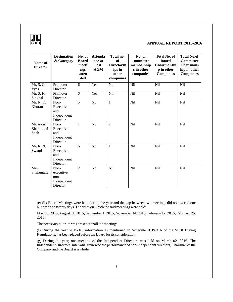

| Name of<br><b>Director</b>      | <b>Designation</b><br>& Category                     | No. of<br><b>Board</b><br>meeti<br>ngs<br>atten<br>ded | <b>Attenda</b><br>nce at<br>last<br><b>AGM</b> | Total no.<br><b>of</b><br><b>Directorsh</b><br>ips in<br>other | No. of<br>committee<br>membership<br>s in other<br>companies | <b>Total No. of</b><br><b>Board</b><br>Chairmanshi<br>p in other<br><b>Companies</b> | <b>Total No.of</b><br><b>Committee</b><br><b>Chairmans</b><br>hip in other<br><b>Companies</b> |
|---------------------------------|------------------------------------------------------|--------------------------------------------------------|------------------------------------------------|----------------------------------------------------------------|--------------------------------------------------------------|--------------------------------------------------------------------------------------|------------------------------------------------------------------------------------------------|
|                                 |                                                      |                                                        |                                                | companies                                                      |                                                              |                                                                                      |                                                                                                |
| Mr. S. G.<br>Vyas               | Promoter<br>Director                                 | 6                                                      | Yes                                            | Nil                                                            | Nil                                                          | Nil                                                                                  | Nil                                                                                            |
| Mr. S. K.<br>Singhal            | Promoter<br>Director                                 | 6                                                      | Yes                                            | Nil                                                            | Nil                                                          | Nil                                                                                  | Nil                                                                                            |
| Mr. N. K.<br>Khurana            | Non-<br>Executive<br>and<br>Independent<br>Director  | $\overline{5}$                                         | N <sub>o</sub>                                 | $\mathbf{1}$                                                   | Nil                                                          | Nil                                                                                  | Nil                                                                                            |
| Mr. Akash<br>Bharatbhai<br>Shah | Non-<br>Executive<br>and<br>Independent<br>Director  | 1                                                      | N <sub>o</sub>                                 | $\overline{2}$                                                 | Nil                                                          | Nil                                                                                  | Nil                                                                                            |
| Mr. R. N.<br>Swami              | Non-<br>Executive<br>and<br>Independent<br>Director  | 6                                                      | N <sub>o</sub>                                 | $\mathbf{1}$                                                   | Nil                                                          | Nil                                                                                  | Nil                                                                                            |
| Mrs.<br>Shakuntala              | Non-<br>executive<br>non-<br>Independent<br>Director | $\overline{2}$                                         | N <sub>o</sub>                                 | Nil                                                            | Nil                                                          | Nil                                                                                  | Nil                                                                                            |

(e) Six Board Meetings were held during the year and the gap between two meetings did not exceed one hundred and twenty days. The dates on which the said meetings were held:

May 30, 2015; August 11, 2015; September 1, 2015; November 14, 2015; February 12, 2016; February 26, 2016.

The necessary quorum was present for all the meetings.

(f) During the year 2015-16, information as mentioned in Schedule II Part A of the SEBI Listing Regulations, has been placed before the Board for its consideration.

(g) During the year, one meeting of the Independent Directors was held on March 02, 2016. The Independent Directors, inter-alia, reviewed the performance of non-independent directors, Chairman of the Company and the Board as a whole.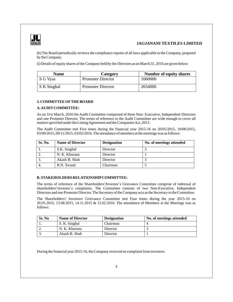

(h) The Board periodically reviews the compliance reports of all laws applicable to the Company, prepared by the Company.

(i) Details of equity shares of the Company held by the Directors as on March 31, 2016 are given below:

| <b>Name</b> | <b>Category</b>          | <b>Number of equity shares</b> |
|-------------|--------------------------|--------------------------------|
| S G Vyas    | <b>Promoter Director</b> | 1060000                        |
| S K Singhal | <b>Promoter Director</b> | 2654000                        |

### **3. COMMITTEE OFTHE BOARD**

### **A. AUDITCOMMITTEE:**

As on 31st March, 2016 the Audit Committee comprised of three Non- Executive, Independent Directors and one Promoter Director. The terms of reference to the Audit Committee are wide enough to cover all matters specified under the Listing Agreement and the Companies Act, 2013.

The Audit Committee met Five times during the financial year 2015-16 on 20/05/2015, 10/08/2015, 03/09/2015, 09/11/2015, 03/02/2016. The attendance of members at the meetings was as follows:

| Sr. No. | <b>Name of Director</b> | <b>Designation</b> | No. of meetings attended |
|---------|-------------------------|--------------------|--------------------------|
|         | S.K. Singhal            | Director           |                          |
|         | N. K. Khurana           | Director           |                          |
|         | Akash B. Shah           | Director           |                          |
| 4.      | R.N. Swami              | Chairman           |                          |

### **B. STAKEHOLDERS RELATIONSHIPCOMMITTEE:**

The terms of reference of the Shareholders'/Investor`s Grievance Committee comprise of redressal of shareholders'/investor`s complaints. The Committee consists of two Non-Executive, Independent Directors and one Promoter Director. The Secretary of the Company acts as the Secretary to the Committee.

The Shareholders'/ Investors' Grievance Committee met Four times during the year 2015-16 on 30.05.2015, 13.08.2015, 14.11.2015 & 12.02.2016. The attendance of Members at the Meetings was as follows:

| Sr. No | <b>Name of Director</b> | <b>Designation</b> | No. of meetings attended |
|--------|-------------------------|--------------------|--------------------------|
|        | S. K. Singhal           | Chairman           |                          |
|        | N. K. Khurana           | Director           |                          |
|        | Akash B. Shah           | Director           |                          |

During the financial year 2015-16, the Company received no complaint from investors.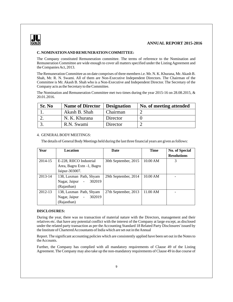

### **C. NOMINATION AND REMUNERATION COMMITTEE:**

The Company constituted Remuneration committee. The terms of reference to the Nomination and Remuneration Committee are wide enough to cover all matters specified under the Listing Agreement and the Companies Act, 2013.

The Remuneration Committee as on date comprises of three members i.e. Mr. N. K. Khurana, Mr. Akash B. Shah, Mr. R. N. Swami. All of them are Non-Executive Independent Directors. The Chairman of the Committee is Mr. Akash B. Shah who is a Non-Executive and Independent Director. The Secretary of the Company acts as the Secretary to the Committee.

The Nomination and Remuneration Committee met two times during the year 2015-16 on 28.08.2015, & 20.01.2016.

| Sr. No | Name of Director   Designation |          | No. of meeting attended |
|--------|--------------------------------|----------|-------------------------|
|        | Akash B. Shah                  | Chairman |                         |
|        | N. K. Khurana                  | Director |                         |
|        | R.N. Swami                     | Director |                         |

### 4. GENERALBODYMEETINGS:

The details of General Body Meetings held during the last three financial years are given as follows:

| Year    | Location                            | Date                 | <b>Time</b> | <b>No. of Special</b> |
|---------|-------------------------------------|----------------------|-------------|-----------------------|
|         |                                     |                      |             | <b>Resolutions</b>    |
| 2014-15 | E-228, RIICO Industrial             | 30th September, 2015 | 10.00 AM    | 3                     |
|         | Area, Bagru Extn -1, Bagru          |                      |             |                       |
|         | Jaipur-303007.                      |                      |             |                       |
| 2013-14 | 138, Laxman Path, Shyam             | 29th September, 2014 | 10.00 AM    |                       |
|         | 302019<br>Nagar, Jaipur<br>$\sim$   |                      |             |                       |
|         | (Rajasthan)                         |                      |             |                       |
| 2012-13 | 138, Laxman Path, Shyam             | 27th September, 2013 | 11.00 AM    |                       |
|         | 302019<br>Nagar, Jaipur<br>$\equiv$ |                      |             |                       |
|         | (Rajasthan)                         |                      |             |                       |

### **DISCLOSURES:**

During the year, there was no transaction of material nature with the Directors, management and their relatives etc. that have any potential conflict with the interest of the Company at large except, as disclosed under the related party transaction as per the Accounting Standard 18 Related Party Disclosures' issued by the Institute of Chartered Accountants of India which are set out in the Annual

Report. The significant accounting policies which are consistently applied have been set out in the Notes to the Accounts.

Further, the Company has complied with all mandatory requirements of Clause 49 of the Listing Agreement. The Company may also take up the non-mandatory requirements of Clause 49 in due course of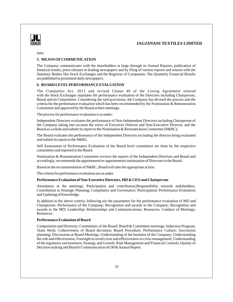

time.

### **5. MEANS OFCOMMUNICATION**

The Company communicates with the shareholders at large through its Annual Reports, publication of financial results, press releases in leading newspapers and by filing of various reports and returns with the Statutory Bodies like Stock Exchanges and the Registrar of Companies. The Quarterly Financial Results are published in prominent daily newspapers.

### **6. BOARD LEVELPERFORMANCE EVALUATION**

The Companies Act, 2013 and revised Clause 49 of the Listing Agreement entered with the Stock Exchanges stipulates the performance evaluation of the Directors including Chairperson, Board and its Committees. Considering the said provisions, the Company has devised the process and the criteria for the performance evaluation which has been recommended by the Nomination & Remuneration Committee and approved by the Board at their meetings.

The process for performance evaluation is as under:

Independent Directors evaluates the performance of Non-Independent Directors including Chairperson of the Company taking into account the views of Executive Director and Non-Executive Director, and the Board as a whole and submit its report to the Nomination & Remuneration Committee (N&RC).

The Board evaluates the performance of the Independent Directors excluding the director being evaluated and submit its report to the N&RC.

Self Assessment of Performance Evaluation of the Board level committees are done by the respective committees and reported to the Board.

Nomination & Remuneration Committee reviews the reports of the Independent Directors and Board and accordingly, recommends the appointment/re-appointment/continuation of Directors to the Board.

Based on the recommendation of N&RC, Board will take the appropriate action.

The criteria for performance evaluation are as under

#### **Performance Evaluation of Non-Executive Directors, MD & CEO and Chairperson**

Attendance at the meetings; Participation and contribution;Responsibility towards stakeholders; Contribution in Strategic Planning; Compliance and Governance; Participation; Performance Evaluation and Updating of Knowledge.

In addition to the above criteria, following are the parameters for the performance evaluation of MD and Chairperson. Performance of the Company; Recognition and awards to the Company; Recognition and awards to the MD; Leadership; Relationships and Communications; Resources; Conduct of Meetings; Resources.

### **Performance Evaluation of Board**

Composition and Diversity; Committees of the Board; Board & Committee meetings; Induction Program; Team Work; Cohesiveness of Board decisions; Board Procedure; Performance Culture; Succession planning; Discussions at Board Meetings; Understanding of the business of the Company; Understanding the role and effectiveness; Foresight to avoid crisis and effectiveness in crisis management; Understanding of the regulatory environment; Strategy and Growth; Risk Management and Financial Controls; Quality of Decision making and Board's Communication AGM & Annual Report.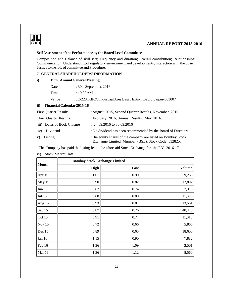

## **GOLD ANNUAL REPORT 2015-2016**

### **Self Assessment of the Performance by the Board Level Committees**

Composition and Balance of skill sets; Frequency and duration; Overall contribution; Relationships; Communication; Understanding of regulatory environment and developments; Interaction with the board; Justice to the role of committee and Procedure.

### **7. GENERALSHAREHOLDERS' INFORMATION**

### **i) 19th Annual General Meeting**

| Date  | : 30th September, 2016                                            |
|-------|-------------------------------------------------------------------|
| Time  | : $10.00$ AM                                                      |
| Venue | : E-228, RIICO Industrial Area Bagru Extn-I, Bagru, Jaipur-303007 |

### **ii) Financial Calendar 2015-16**

| <b>First Ouarter Results</b> | : August, 2015, Second Quarter Results, November, 2015                                                              |
|------------------------------|---------------------------------------------------------------------------------------------------------------------|
| <b>Third Ouarter Results</b> | : February, 2016, Annual Results : May, 2016.                                                                       |
| iii) Dates of Book Closure   | $: 24.09.2016$ to 30.09.2016                                                                                        |
| iv) Dividend                 | : No dividend has been recommended by the Board of Directors.                                                       |
| v) Listing                   | The equity shares of the company are listed on Bombay Stock<br>Exchange Limited, Mumbai. (BSE). Stock Code: 532825. |

The Company has paid the listing fee to the aforesaid Stock Exchange for the F.Y. 2016-17

vi) Stock Market Data:

|              | <b>Bombay Stock Exchange Limited</b> |      |               |
|--------------|--------------------------------------|------|---------------|
| <b>Month</b> | <b>High</b>                          | Low  | <b>Volume</b> |
| Apr 15       | 1.01                                 | 0.90 | 9,265         |
| May 15       | 0.90                                 | 0.82 | 12,802        |
| Jun $15$     | 0.87                                 | 0.74 | 7,315         |
| Jul 15       | 0.88                                 | 0.80 | 11,393        |
| Aug 15       | 0.93                                 | 0.87 | 13,561        |
| Sep 15       | 0.87                                 | 0.76 | 40,418        |
| Oct 15       | 0.91                                 | 0.74 | 11,018        |
| Nov 15       | 0.72                                 | 0.66 | 5,865         |
| Dec 15       | 0.89                                 | 0.65 | 18,600        |
| Jan 16       | 1.15                                 | 0.90 | 7,882         |
| Feb 16       | 1.36                                 | 1.09 | 3,501         |
| Mar 16       | 1.36                                 | 1.12 | 8,560         |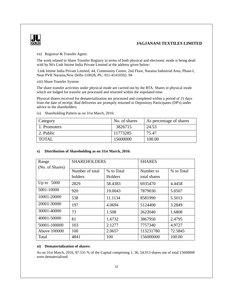

vii) Registrar & Transfer Agent:

The work related to Share Transfer Registry in terms of both physical and electronic mode is being dealt with by M/s Link Intime India Private Limited at the address given below:

 Link Intime India Private Limited, 44, Community Centre, 2nd Floor, Naraina Industrial Area, Phase-I, Near PVR Naraina,New Delhi-110028, Ph.: 011-41410592, 94

viii) Share Transfer System:

The share transfer activities under physical mode are carried out by the RTA. Shares in physical mode which are lodged for transfer are processed and returned within the stipulated time.

Physical shares received for dematerialization are processed and completed within a period of 21 days from the date of receipt. Bad deliveries are promptly returned to Depository Participants (DP's) under advice to the shareholders.

| Category     | No. of shares | As percentage of shares |
|--------------|---------------|-------------------------|
| 1. Promoters | 3826715       | 24.53                   |
| 2. Public    | 11773285      | 75.47                   |
| <b>TOTAL</b> | 15600000      | 100.00                  |

ix) Shareholding Pattern as on 31st March, 2016:

### **x) Distribution of Shareholding as on 31st March, 2016:**

| Range           | <b>SHAREHOLDERS</b> |            | <b>SHARES</b> |            |
|-----------------|---------------------|------------|---------------|------------|
| (No. of Shares) |                     |            |               |            |
|                 | Number of total     | % to Total | Number to     | % to Total |
|                 | holders             | Holders    | total shares  |            |
| Up to $.5000$   | 2829                | 58.4383    | 6935470       | 4.4458     |
| 5001-10000      | 920                 | 19.0043    | 7879030       | 5.0507     |
| 10001-20000     | 538                 | 11.1134    | 8581990       | 5.5013     |
| 20001-30000     | 197                 | 4.0694     | 5124400       | 3.2849     |
| 30001-40000     | 73                  | 1.508      | 2622040       | 1.6808     |
| 40001-50000     | 81                  | 1.6732     | 3867950       | 2.4795     |
| 50001-100000    | 103                 | 2.1277     | 7757340       | 4.9727     |
| Above 100000    | 100                 | 2.0657     | 113231780     | 72.5845    |
| Total           | 4841                | 100        | 156000000     | 100.00     |

#### **xi) Dematerialization of shares:**

As on 31st March, 2016, 87.531 % of the Capital comprising 1, 36, 54,913 shares out of total 15600000 were dematerialized.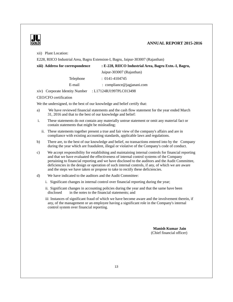

xii) Plant Location:

E228, RIICO Industrial Area, Bagru Extension-I, Bagru, Jaipur-303007 (Rajasthan)

| xiii) Address for correspondence  | : E-228, RIICO Industrial Area, Bagru Extn.-I, Bagru, |
|-----------------------------------|-------------------------------------------------------|
|                                   | Jaipur-303007 (Rajasthan)                             |
| <b>Telephone</b>                  | $: 0141 - 4104745$                                    |
| E-mail                            | : compliance $\omega$ jagjanani.com                   |
| Corporate Identity Number<br>XIV) | : L17124RJ1997PLC013498                               |

#### CEO/CFO certification

We the undersigned, to the best of our knowledge and belief certify that:

- a) We have reviewed financial statements and the cash flow statement for the year ended March 31, 2016 and that to the best of our knowledge and belief:
- i. These statements do not contain any materially untrue statement or omit any material fact or contain statements that might be misleading;
	- ii. These statements together present a true and fair view of the company's affairs and are in compliance with existing accounting standards, applicable laws and regulations.
- b) There are, to the best of our knowledge and belief, no transactions entered into by the Company during the year which are fraudulent, illegal or violative of the Company's code of conduct.
- c) We accept responsibility for establishing and maintaining internal controls for financial reporting and that we have evaluated the effectiveness of internal control systems of the Company pertaining to financial reporting and we have disclosed to the auditors and the Audit Committee, deficiencies in the design or operation of such internal controls, if any, of which we are aware and the steps we have taken or propose to take to rectify these deficiencies.
- d) We have indicated to the auditors and the Audit Committee:
	- i. Significant changes in internal control over financial reporting during the year;
	- ii. Significant changes in accounting policies during the year and that the same have been disclosed in the notes to the financial statements; and
	- iii Instances of significant fraud of which we have become aware and the involvement therein, if any, of the management or an employee having a significant role in the Company's internal control system over financial reporting.

 **Manish Kumar Jain** (Chief financial officer)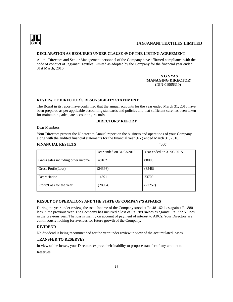

### **DECLARATION AS REQUIRED UNDER CLAUSE 49 OF THE LISTING AGREEMENT**

All the Directors and Senior Management personnel of the Company have affirmed compliance with the code of conduct of Jagjanani Textiles Limited as adopted by the Company for the financial year ended 31st March, 2016.

> **S G VYAS (MANAGING DIRECTOR)** (DIN-01905310)

### **REVIEW OF DIRECTOR`S RESONSIBILITY STATEMENT**

The Board in its report have confirmed that the annual accounts for the year ended March 31, 2016 have been prepared as per applicable accounting standards and policies and that sufficient care has been taken for maintaining adequate accounting records.

### **DIRECTORS' REPORT**

Dear Members,

Your Directors present the Nineteenth Annual report on the business and operations of your Company along with the audited financial statements for the financial year (FY) ended March 31, 2016.

### **FINANCIAL RESULTS** ('000)

|                                    | Year ended on $31/03/2016$ | Year ended on $31/03/2015$ |
|------------------------------------|----------------------------|----------------------------|
| Gross sales including other income | 48162                      | 88000                      |
| Gross Profit(Loss)                 | (24393)                    | (3548)                     |
| Depreciation                       | 4591                       | 23709                      |
| Profit/Loss for the year           | (28984)                    | (27257)                    |

### **RESULT OF OPERATIONS AND THE STATE OF COMPANY'S AFFAIRS**

During the year under review, the total Income of the Company stood at Rs.481.62 lacs against Rs.880 lacs in the previous year. The Company has incurred a loss of Rs. 289.84lacs as against Rs. 272.57 lacs in the previous year. The loss is mainly on account of payment of interest to ARCs. Your Directors are continuously looking for avenues for future growth of the Company.

### **DIVIDEND**

No dividend is being recommended for the year under review in view of the accumulated losses.

### **TRANSFER TO RESERVES**

In view of the losses, your Directors express their inability to propose transfer of any amount to

Reserves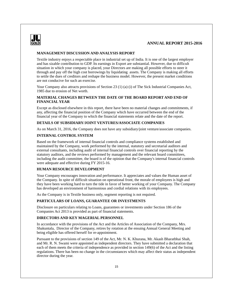

#### **MANAGEMENT DISCUSSION AND ANALYSIS REPORT**

Textile industry enjoys a respectable place in industrial set up of India. It is one of the largest employer and has sizable contribution to GDP. Its earnings in Export are substantial. However, due to difficult situation in which your company is placed, your Directors are making all possible efforts to steer it through and pay off the high cost borrowings by liquidating assets. The Company is making all efforts to settle the dues of creditors and reshape the business model. However, the present market conditions are not conducive for such an exercise.

Your Company also attracts provisions of Section 23 (1) (a) (i) of The Sick Industrial Companies Act, 1985 due to erosion of Net worth.

### **MATERIAL CHANGES BETWEEN THE DATE OF THE BOARD REPORT AND END OF FINANCIAL YEAR**

Except as disclosed elsewhere in this report, there have been no material changes and commitments, if any, affecting the financial position of the Company which have occurred between the end of the financial year of the Company to which the financial statements relate and the date of the report.

### **DETAILS OF SUBSIDIARY/JOINT VENTURES/ASSOCIATE COMPANIES**

As on March 31, 2016, the Company does not have any subsidiary/joint venture/associate companies.

### **INTERNAL CONTROL SYSTEM**

Based on the framework of internal financial controls and compliance systems established and maintained by the Company, work performed by the internal, statutory and secretarial auditors and external consultants, including audit of internal financial controls over financial reporting by the statutory auditors, and the reviews performed by management and the relevant board committees, including the audit committee, the board is of the opinion that the Company's internal financial controls were adequate and effective during FY 2015-16.

### **HUMAN RESOURCE DEVELOPMENT**

Your Company encourages innovation and performance. It appreciates and values the Human asset of the Company. In spite of difficult situation on operational front, the morale of employees is high and they have been working hard to turn the tide in favor of better working of your Company. The Company has developed an environment of harmonious and cordial relations with its employees.

As the Company is in Textile business only, segment reporting is not required.

### **PARTICULARS OF LOANS, GUARANTEE OR INVESTMENTS**

Disclosure on particulars relating to Loans, guarantees or investments under Section 186 of the Companies Act 2013 is provided as part of financial statements.

### **DIRECTORS AND KEY MAGERIAL PERSONNEL**

In accordance with the provisions of the Act and the Articles of Association of the Company, Mrs. Shakuntala, Director of the Company, retires by rotation at the ensuing Annual General Meeting and being eligible has offered herself for re-appointment.

Pursuant to the provisions of section 149 of the Act, Mr. N. K. Khurana, Mr. Akash Bharatbhai Shah, and Mr. R. N. Swami were appointed as independent directors. They have submitted a declaration that each of them meets the criteria of independence as provided in section 149(6) of the Act and the listing regulations. There has been no change in the circumstances which may affect their status as independent director during the year.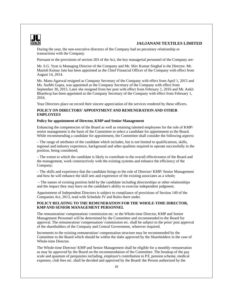

During the year, the non-executive directors of the Company had no pecuniary relationship or transactions with the Company.

Pursuant to the provisions of section 203 of the Act, the key managerial personnel of the Company are-

Mr. S.G. Vyas is Managing Director of the Company and Mr. Shiv Kumar Singhal is the Director. Mr. Manish Kumar Jain has been appointed as the Chief Financial Officer of the Company with effect from August 14, 2014.

Ms. Manu Agarwal resigned as Company Secretary of the Company with effect from April 1, 2015 and Ms. Surbhi Gupta, was appointed as the Company Secretary of the Company with effect from September 30, 2015. Later she resigned from her post with effect from February 1, 2016 and Mr. Ankit Bhardwaj has been appointed as the Company Secretary of the Company with effect from February 1, 2016.

Your Directors place on record their sincere appreciation of the services rendered by these officers.

### **POLICY ON DIRECTORS' APPOINTMENT AND REMUNERATION AND OTHER EMPLOYEES**

#### **Policy for appointment of Director, KMP and Senior Management**

Enhancing the competencies of the Board as well as retaining talented employees for the role of KMP/ senior management is the basis of the Committee to select a candidate for appointment to the Board. While recommending a candidate for appointment, the Committee shall consider the following aspects:

– The range of attributes of the candidate which includes, but is not limited to qualifications, skills, regional and industry experience, background and other qualities required to operate successfully in the position, being considered;

– The extent to which the candidate is likely to contribute to the overall effectiveness of the Board and the management, work constructively with the existing systems and enhance the efficiency of the Company;

– The skills and experience that the candidate brings to the role of Director/ KMP/ Senior Management and how he will enhance the skill sets and experience of the existing associates as a whole;

 – The nature of existing position held by the candidate including directorships or other relationships and the impact they may have on the candidate's ability to exercise independent judgment;

Appointment of Independent Directors is subject to compliance of provisions of Section 149 of the Companies Act, 2013, read with Schedule IV and Rules there under.

### **POLICY RELATING TO THE REMUNERATION FOR THE WHOLE-TIME DIRECTOR, KMPAND SENIOR MANAGEMENT PERSONNEL**

The remuneration/ compensation/ commission etc. to the Whole-time Director, KMP and Senior Management Personnel will be determined by the Committee and recommended to the Board for approval. The remuneration/ compensation/ commission etc. shall be subject to the prior/ post approval of the shareholders of the Company and Central Government, wherever required.

Increments to the existing remuneration/ compensation structure may be recommended by the Committee to the Board which should be within the slabs approved by the Shareholders in the case of Whole-time Director.

The Whole-time Director/ KMP and Senior Management shall be eligible for a monthly remuneration as may be approved by the Board on the recommendation of the Committee. The breakup of the pay scale and quantum of perquisites including, employer's contribution to P.F, pension scheme, medical expenses, club fees etc. shall be decided and approved by the Board/ the Person authorized by the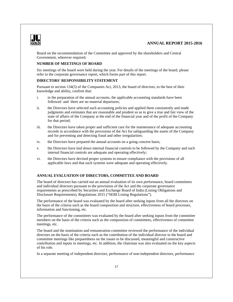

Board on the recommendation of the Committee and approved by the shareholders and Central Government, wherever required.

### **NUMBER OF MEETINGS OF BOARD**

Six meetings of the board were held during the year. For details of the meetings of the board, please refer to the corporate governance report, which forms part of this report.

### **DIRECTORS' RESPONSIBILITY STATEMENT**

Pursuant to section 134(5) of the Companies Act, 2013, the board of directors, to the best of their knowledge and ability, confirm that:

- i. in the preparation of the annual accounts, the applicable accounting standards have been followed and there are no material departures;
- ii. the Directors have selected such accounting policies and applied them consistently and made judgments and estimates that are reasonable and prudent so as to give a true and fair view of the state of affairs of the Company at the end of the financial year and of the profit of the Company for that period;
- iii. the Directors have taken proper and sufficient care for the maintenance of adequate accounting records in accordance with the provisions of the Act for safeguarding the assets of the Company and for preventing and detecting fraud and other irregularities;
- iv. the Directors have prepared the annual accounts on a going concern basis;
- v. the Directors have laid down internal financial controls to be followed by the Company and such internal financial controls are adequate and operating effectively;
- vi. the Directors have devised proper systems to ensure compliance with the provisions of all applicable laws and that such systems were adequate and operating effectively.

### **ANNUAL EVALUATION OF DIRECTORS, COMMITTEE AND BOARD**

The board of directors has carried out an annual evaluation of its own performance, board committees and individual directors pursuant to the provisions of the Act and the corporate governance requirements as prescribed by Securities and Exchange Board of India (Listing Obligations and Disclosure Requirements), Regulations 2015 ("SEBI Listing Regulations").

The performance of the board was evaluated by the board after seeking inputs from all the directors on the basis of the criteria such as the board composition and structure, effectiveness of board processes, information and functioning, etc.

The performance of the committees was evaluated by the board after seeking inputs from the committee members on the basis of the criteria such as the composition of committees, effectiveness of committee meetings, etc.

The board and the nomination and remuneration committee reviewed the performance of the individual directors on the basis of the criteria such as the contribution of the individual director to the board and committee meetings like preparedness on the issues to be discussed, meaningful and constructive contribution and inputs in meetings, etc. In addition, the chairman was also evaluated on the key aspects of his role.

In a separate meeting of independent directors, performance of non-independent directors, performance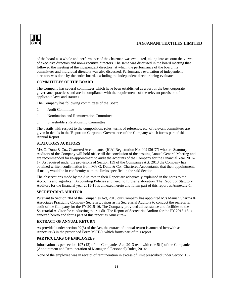

of the board as a whole and performance of the chairman was evaluated, taking into account the views of executive directors and non-executive directors. The same was discussed in the board meeting that followed the meeting of the independent directors, at which the performance of the board, its committees and individual directors was also discussed. Performance evaluation of independent directors was done by the entire board, excluding the independent director being evaluated.

### **COMMITTEES OF THE BOARD**

The Company has several committees which have been established as a part of the best corporate governance practices and are in compliance with the requirements of the relevant provision of applicable laws and statutes.

The Company has following committees of the Board:

- ü Audit Committee
- ü Nomination and Remuneration Committee
- ü Shareholders Relationship Committee

The details with respect to the composition, roles, terms of reference, etc. of relevant committees are given in details in the 'Report on Corporate Governance' of the Company which forms part of this Annual Report.

### **STATUTORY AUDITORS**

M/s G. Dutta & Co., Chartered Accountants, (ICAI Registration No. 002136 'C') who are Statutory Auditors of the Company will hold office till the conclusion of the ensuing Annual General Meeting and are recommended for re-appointment to audit the accounts of the Company for the Financial Year 2016- 17. As required under the provisions of Section 139 of the Companies Act, 2013 the Company has obtained written confirmation from M/s G. Dutta & Co., Chartered Accountants, that their appointment, if made, would be in conformity with the limits specified in the said Section.

The observations made by the Auditors in their Report are adequately explained in the notes to the Accounts and significant Accounting Policies and need no further elaboration. The Report of Statutory Auditors for the financial year 2015-16 is annexed hereto and forms part of this report as Annexure-1.

### **SECRETARIALAUDITOR**

Pursuant to Section 204 of the Companies Act, 2013 our Company has appointed M/s Manish Sharma & Associates Practicing Company Secretary, Jaipur as its Secretarial Auditors to conduct the secretarial audit of the Company for the FY 2015-16. The Company provided all assistance and facilities to the Secretarial Auditor for conducting their audit. The Report of Secretarial Auditor for the FY 2015-16 is annexed hereto and forms part of this report as Annexure-2.

### **EXTRACT OF ANNUAL RETURN**

As provided under section 92(3) of the Act, the extract of annual return is annexed herewith as Annexure-3 in the prescribed Form MGT-9, which forms part of this report.

### **PARTICULARS OF EMPLOYEES**

Information as per section 197 (12) of the Companies Act, 2013 read with rule 5(1) of the Companies (Appointment and Remuneration of Managerial Personnel) Rules, 2014:

None of the employee was in receipt of remuneration in excess of limit prescribed under Section 197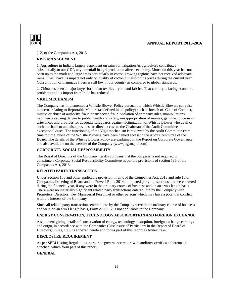

(12) of the Companies Act, 2013.

### **RISK MANAGEMENT**

1. Agriculture in India is largely dependent on rains for irrigation As agriculture contributes substantially to our GDP, any downfall in agri production affects economy. Monsoon this year has not been up to the mark and large areas particularly in cotton growing regions have not received adequate rains. It will have its impact not only on quality of cotton but also on its prices during the current year. Consumption of manmade fibers is still low in our country as compared to global standards.

2. China has been a major buyer for Indian textiles – yarn and fabrics. That country is facing economic problems and its import from India has reduced.

### **VIGIL MECHANISM**

The Company has implemented a Whistle Blower Policy pursuant to which Whistle Blowers can raise concerns relating to Reportable Matters (as defined in the policy) such as breach of Code of Conduct, misuse or abuse of authority, fraud or suspected fraud, violation of company rules, manipulations, negligence causing danger to public health and safety, misappropriation of monies, genuine concerns or grievances and provides for adequate safeguards against victimization of Whistle Blower who avail of such mechanism and also provides for direct access to the Chairman of the Audit Committee, in exceptional cases. The functioning of the Vigil mechanism is reviewed by the Audit Committee from time to time. None of the Whistle Blowers have been denied access to the Audit Committee of the Board. The details of the Whistle Blower Policy are explained in the Report on Corporate Governance and also available on the website of the Company (www.jagjanajni.com).

### **CORPORATE SOCIAL RESPONSIBILITY**

The Board of Directors of the Company hereby confirms that the company is not required to constitute a Corporate Social Responsibility Committee as per the provisions of section 135 of the Companies Act, 2013.

### **RELATED PARTY TRANSACTION**

Under Section 188 and other applicable provision, if any, of the Companies Act, 2013 and rule 15 of Companies (Meeting of Board and its Power) Rule, 2014, all related party transactions that were entered during the financial year, if any were in the ordinary course of business and on an arm's length basis. There were no materially significant related party transactions entered into by the Company with Promoters, Directors, Key Managerial Personnel or other persons which may have a potential conflict with the interest of the Company.

Since all related party transactions entered into by the Company were in the ordinary course of business and were on an arm's length basis, Form AOC – 2 is not applicable to the Company.

### **ENERGY CONSERVATION, TECHNOLOGY ABSORPORTION AND FOREIGN EXCHANGE**

A statement giving details of conservation of energy, technology absorption, foreign exchange earnings and outgo, in accordance with the Companies (Disclosure of Particulars in the Report of Board of Directors) Rules, 1988 is annexed hereto and forms part of this report as Annexure-4.

#### **DISCLOSURE REQUIREMENT**

As per SEBI Listing Regulations, corporate governance report with auditors' certificate thereon are attached, which form part of this report.

#### **GENERAL**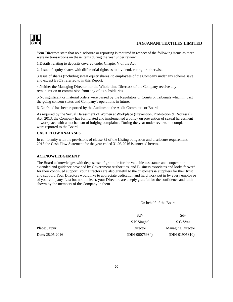

Your Directors state that no disclosure or reporting is required in respect of the following items as there were no transactions on these items during the year under review:

1.Details relating to deposits covered under Chapter V of the Act.

2. Issue of equity shares with differential rights as to dividend, voting or otherwise.

3.Issue of shares (including sweat equity shares) to employees of the Company under any scheme save and except ESOS referred to in this Report.

4.Neither the Managing Director nor the Whole-time Directors of the Company receive any remuneration or commission from any of its subsidiaries.

5.No significant or material orders were passed by the Regulators or Courts or Tribunals which impact the going concern status and Company's operations in future.

6. No fraud has been reported by the Auditors to the Audit Committee or Board.

As required by the Sexual Harassment of Women at Workplace (Prevention, Prohibition & Redressal) Act, 2013, the Company has formulated and implemented a policy on prevention of sexual harassment at workplace with a mechanism of lodging complaints. During the year under review, no complaints were reported to the Board.

### **CASH FLOW ANALYSES**

In conformity with the provisions of clause 32 of the Listing obligation and disclosure requirement, 2015 the Cash Flow Statement for the year ended 31.03.2016 is annexed hereto.

### **ACKNOWLEDGEMENT**

The Board acknowledges with deep sense of gratitude for the valuable assistance and cooperation extended and guidance provided by Government Authorities, and Business associates and looks forward for their continued support. Your Directors are also grateful to the customers & suppliers for their trust and support. Your Directors would like to appreciate dedication and hard work put in by every employee of your company. Last but not the least, your Directors are deeply grateful for the confidence and faith shown by the members of the Company in them.

On behalf of the Board,

 Sd/- Sd/- S.K.Singhal S.G.Vyas

Place: Jaipur Director Managing Director Managing Director Date: 28.05.2016 (DIN-00075934) (DIN-01905310)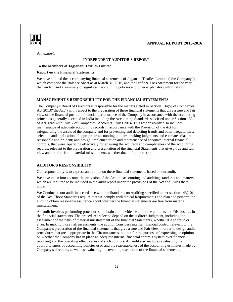

Annexure-1

#### **INDEPENDENT AUDITOR'S REPORT**

### **To the Members of Jagjanani Textiles Limited,**

#### **Report on the Financial Statements**

We have audited the accompanying financial statements of Jagjanani Textiles Limited ("the Company") which comprise the Balance Sheet as at March 31, 2016, and the Profit & Loss Statement for the year then ended, and a summary of significant accounting policies and other explanatory information.

### **MANAGEMENT'S RESPONSIBILITY FOR THE FINANCIAL STATEMENTS**

The Company's Board of Directors is responsible for the matters stated in Section 134(5) of Companies Act 2013("the Act") with respect to the preparation of these financial statements that give a true and fair view of the financial position, financial performance of the Company in accordance with the accounting principles generally accepted in India including the Accounting Standards specified under Section 133 of Act, read with Rule 7 of Companies (Accounts) Rules 2014. This responsibility also includes maintenance of adequate accounting records in accordance with the Provision of the Act for safeguarding the assets of the company and for preventing and detecting frauds and other irregularities; selection and application of appropriate accounting policies; making judgments and estimates that are reasonable and prudent; and design, implementation and maintenance of adequate internal financial controls, that were operating effectively for ensuring the accuracy and completeness of the accounting records, relevant to the preparation and presentation of the financial Statements that give a true and fair view and are free from material misstatement, whether due to fraud or error.

#### **AUDITOR'S RESPONSIBILITY**

Our responsibility is to express an opinion on these financial statements based on our audit.

We have taken into account the provision of the Act, the accounting and auditing standards and matters which are required to be included in the audit report under the provisions of the Act and Rules there under.

We Conducted our audit in accordance with the Standards on Auditing specified under section 143(10) of the Act. Those Standards require that we comply with ethical Requirements and plan and perform the audit to obtain reasonable assurance about whether the financial statements are free from material misstatement.

An audit involves performing procedures to obtain audit evidence about the amounts and Disclosures in the financial statements. The procedures selected depend on the auditor's Judgment, including the assessment of the risks of material misstatement of the financial Statements, whether due to fraud or error. In making those risk assessments, the auditor Considers internal financial control relevant to the Company's preparation of the financial statements that give a true and Fair view in order to design audit procedures that are appropriate in the Circumstances, but not for the purpose of expressing an opinion on whether the Company has in place an adequate internal financial controls system over financial reporting and the operating effectiveness of such controls. An audit also includes evaluating the appropriateness of accounting policies used and the reasonableness of the accounting estimates made by Company's directors, as well as evaluating the overall presentation of the financial statements.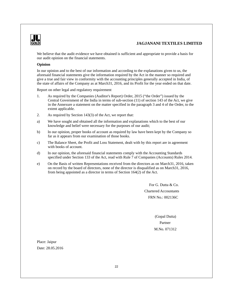

We believe that the audit evidence we have obtained is sufficient and appropriate to provide a basis for our audit opinion on the financial statements.

#### **Opinion**

In our opinion and to the best of our information and according to the explanations given to us, the aforesaid financial statements give the information required by the Act in the manner so required and give a true and fair view in conformity with the accounting principles generally accepted in India, of the state of affairs of the Company as at March31, 2016, and its Profit for the year ended on that date.

Report on other legal and regulatory requirement

- 1. As required by the Companies (Auditor's Report) Order, 2015 ("the Order") issued by the Central Government of the India in terms of sub-section (11) of section 143 of the Act, we give in the Annexure a statement on the matter specified in the paragraph 3 and 4 of the Order, to the extent applicable.
- 2. As required by Section 143(3) of the Act, we report that:
- a) We have sought and obtained all the information and explanations which to the best of our knowledge and belief were necessary for the purposes of our audit;
- b) In our opinion, proper books of account as required by law have been kept by the Company so far as it appears from our examination of those books.
- c) The Balance Sheet, the Profit and Loss Statement, dealt with by this report are in agreement with books of account.
- d) In our opinion, the aforesaid financial statements comply with the Accounting Standards specified under Section 133 of the Act, read with Rule 7 of Companies (Accounts) Rules 2014.
- e) On the Basis of written Representations received from the directors as on March31, 2016, taken on record by the board of directors, none of the director is disqualified as on March31, 2016, from being appointed as a director in terms of Section 164(2) of the Act.

 For G. Dutta & Co. Chartered Accountants FRN No.: 002136C

 (Gopal Dutta) **Partner** M.No. 071312

Place: Jaipur Date: 28.05.2016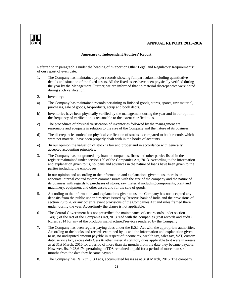

### **Annexure to Independent Auditors' Report**

Referred to in paragraph 1 under the heading of "Report on Other Legal and Regulatory Requirements" of our report of even date:

- 1. The Company has maintained proper records showing full particulars including quantitative details and situation of the fixed assets. All the fixed assets have been physically verified during the year by the Management. Further, we are informed that no material discrepancies were noted during such verification.
- 2. Inventory:-
- a) The Company has maintained records pertaining to finished goods, stores, spares, raw material, purchases, sale of goods, by-products, scrap and book debts.
- b) Inventories have been physically verified by the management during the year and in our opinion the frequency of verification is reasonable to the extent clarified to us.
- c) The procedures of physical verification of inventories followed by the management are reasonable and adequate in relation to the size of the Company and the nature of its business.
- d) The discrepancies noticed on physical verification of stocks as compared to book records which were not material, have been properly dealt with in the books of accounts.
- e) In our opinion the valuation of stock is fair and proper and in accordance with generally accepted accounting principles.
- 3. The Company has not granted any loan to companies, firms and other parties listed in the register maintained under section 189 of the Companies Act, 2013. According to the information and explanation given to us, no loans and advances in the nature of loans have been given to the parties including the employees.
- 4. In our opinion and according to the information and explanations given to us, there is an adequate internal control system commensurate with the size of the company and the nature of its business with regards to purchases of stores, raw material including components, plant and machinery, equipment and other assets and for the sale of goods.
- 5. According to the information and explanations given to us, the Company has not accepted any deposits from the public under directives issued by Reserve Bank of India and the provisions of section 73 to 76 or any other relevant provisions of the Companies Act and rules framed there under, during the year. Accordingly the clause is not applicable.
- 6. The Central Government has not prescribed the maintenance of cost records under section 148(1) of the Act of the Companies Act,2013 read with the companies (cost records and audit) Rules, 2014 for any of the products manufactured/services rendered by the Company
- 7. The Company has been regular paying dues under the E.S.I. Act with the appropriate authorities. According to the books and records examined by us and the information and explanation given to us, no undisputed amount payable in respect of income tax, wealth tax, sales tax, VAT, custom duty, service tax, excise duty Cess & other material statutory dues applicable to it were in arrears as at 31st March, 2016 for a period of more than six months from the date they became payable. However, Rs. 9,23,617/- pertaining to TDS remained unpaid for a period of more than six months from the date they became payable.
- 8. The Company has Rs. 2371.13 Lacs, accumulated losses as at 31st March, 2016. The company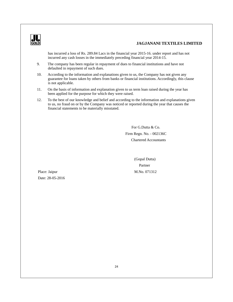

has incurred a loss of Rs. 289.84 Lacs in the financial year 2015-16. under report and has not incurred any cash losses in the immediately preceding financial year 2014-15.

- 9. The company has been regular in repayment of dues to financial institutions and have not defaulted in repayment of such dues.
- 10. According to the information and explanations given to us, the Company has not given any guarantee for loans taken by others from banks or financial institutions. Accordingly, this clause is not applicable.
- 11. On the basis of information and explanation given to us term loan raised during the year has been applied for the purpose for which they were raised.
- 12. To the best of our knowledge and belief and according to the information and explanations given to us, no fraud on or by the Company was noticed or reported during the year that causes the financial statements to be materially misstated.

 For G.Dutta & Co. Firm Regn. No. - 002136C Chartered Accountants

 (Gopal Dutta) Partner Place: Jaipur M.No. 071312

Date: 28-05-2016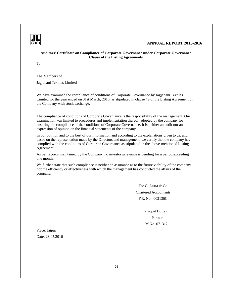

### **Auditors' Certificate on Compliance of Corporate Governance under Corporate Governance Clause of the Listing Agreements**

To,

The Members of

Jagjanani Textiles Limited

We have examined the compliance of conditions of Corporate Governance by Jagjanani Textiles Limited for the year ended on 31st March, 2016, as stipulated in clause 49 of the Listing Agreement of the Company with stock exchange.

The compliance of conditions of Corporate Governance is the responsibility of the management. Our examination was limited to procedures and implementation thereof, adopted by the company for ensuring the compliance of the conditions of Corporate Governance. It is neither an audit nor an expression of opinion on the financial statements of the company.

In our opinion and to the best of our information and according to the explanations given to us, and based on the representation made by the Directors and management, we certify that the company has complied with the conditions of Corporate Governance as stipulated in the above-mentioned Listing Agreement.

As per records maintained by the Company, no investor grievance is pending for a period exceeding one month.

We further state that such compliance is neither an assurance as to the future viability of the company nor the efficiency or effectiveness with which the management has conducted the affairs of the company.

> For G. Dutta & Co. Chartered Accountants F.R. No.: 002136C

 (Gopal Dutta) **Partner Partner** M.No. 071312

Place: Jaipur Date: 28.05.2016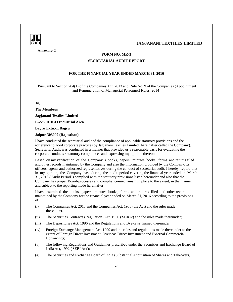

Annexure-2

### **FORM NO. MR-3**

### **SECRETARIALAUDIT REPORT**

### **FOR THE FINANCIAL YEAR ENDED MARCH 31, 2016**

[Pursuant to Section 204(1) of the Companies Act, 2013 and Rule No. 9 of the Companies (Appointment and Remuneration of Managerial Personnel) Rules, 2014]

**To,**

**The Members** 

**Jagjanani Textiles Limited** 

**E-228, RIICO Industrial Area**

**Bagru Extn.-I, Bagru**

**Jaipur-303007 (Rajasthan).**

I have conducted the secretarial audit of the compliance of applicable statutory provisions and the adherence to good corporate practices by Jagjanani Textiles Limited (hereinafter called the Company). Secretarial Audit was conducted in a manner that provided us a reasonable basis for evaluating the corporate conducts / statutory compliances and expressing my opinion thereon.

Based on my verification of the Company 's books, papers, minutes books, forms and returns filed and other records maintained by the Company and also the information provided by the Company, its officers, agents and authorized representatives during the conduct of secretarial audit, I hereby report that in my opinion, the Company has, during the audit period covering the financial year ended on March 31, 2016 ('Audit Period") complied with the statutory provisions listed hereunder and also that the Company has proper Board-processes and compliance-mechanism in place to the extent, in the manner and subject to the reporting made hereinafter:

I have examined the books, papers, minutes books, forms and returns filed and other records maintained by the Company for the financial year ended on March 31, 2016 according to the provisions of:

- (i) The Companies Act, 2013 and the Companies Act, 1956 (the Act) and the rules made thereunder;
- (ii) The Securities Contracts (Regulation) Act, 1956 ('SCRA') and the rules made thereunder;
- (iii) The Depositories Act, 1996 and the Regulations and Bye-laws framed thereunder;
- (iv) Foreign Exchange Management Act, 1999 and the rules and regulations made thereunder to the extent of Foreign Direct Investment, Overseas Direct Investment and External Commercial Borrowings;
- (v) The following Regulations and Guidelines prescribed under the Securities and Exchange Board of India Act, 1992 ('SEBI Act'):-
- (a) The Securities and Exchange Board of India (Substantial Acquisition of Shares and Takeovers)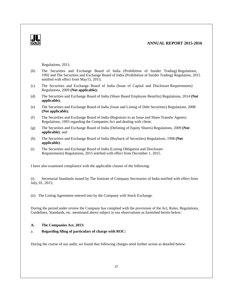

Regulations, 2011;

- (b) The Securities and Exchange Board of India (Prohibition of Insider Trading) Regulations, 1992 and The Securities and Exchange Board of India (Prohibition of Insider Trading) Regulation, 2015 notified with effect from May15, 2015;
- (c) The Securities and Exchange Board of India (Issue of Capital and Disclosure Requirements) Regulations, 2009 **(Not applicable);**
- (d) The Securities and Exchange Board of India (Share Based Employee Benefits) Regulations, 2014 **(Not applicable)**;
- (e) The Securities and Exchange Board of India (Issue and Listing of Debt Securities) Regulations, 2008 **(Not applicable)**;
- (f) The Securities and Exchange Board of India (Registrars to an Issue and Share Transfer Agents) Regulations, 1993 regarding the Companies Act and dealing with client;
- (g) The Securities and Exchange Board of India (Delisting of Equity Shares) Regulations, 2009 **(Not applicable)**; and
- (h) The Securities and Exchange Board of India (Buyback of Securities) Regulations, 1998 **(Not applicable)**;
- (i) The Securities and Exchange Board of India (Listing Obligation and Disclosure Requirements) Regulations, 2015 notified with effect from December 1, 2015.

I have also examined compliance with the applicable clauses of the following:

(i) Secretarial Standards issued by The Institute of Company Secretaries of India notified with effect from July, 01, 2015;

(ii) The Listing Agreement entered into by the Company with Stock Exchange.

During the period under review the Company has complied with the provisions of the Act, Rules, Regulations, Guidelines, Standards, etc. mentioned above subject to our observations as furnished herein below:

### **A. The Companies Act, 2013:**

### a. **Regarding filing of particulars of charge with ROC:**

During the course of our audit, we found that following charges need further action as detailed below: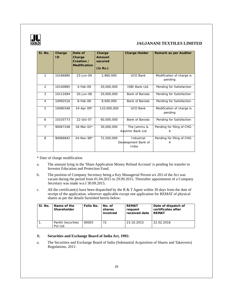

| SI. No.        | Charge<br>ID. | Date of<br>Charge<br>Creation /<br>Modification | Charge<br>Amount<br>secured<br>(in Rs.) | Charge Holder                              | Remark as per Auditor                |
|----------------|---------------|-------------------------------------------------|-----------------------------------------|--------------------------------------------|--------------------------------------|
| 1              | 10166880      | 23-Jun-09                                       | 2.960.000                               | <b>UCO Bank</b>                            | Modification of charge is<br>pending |
| $\overline{2}$ | 10140885      | $4$ -Feb-09                                     | 20,000,000                              | <b>IDBI Bank Ltd.</b>                      | Pending for Satisfaction             |
| 3              | 10111694      | 20-Jun-08                                       | 20,000,000                              | Bank of Baroda                             | Pending for Satisfaction             |
| $\overline{4}$ | 10092516      | $8-Feb-08$                                      | 9,000,000                               | Bank of Baroda                             | Pending for Satisfaction             |
| 5              | 10080348      | $24 - Apr - 09*$                                | 110,000,000                             | <b>UCO Bank</b>                            | Modification of charge is<br>pending |
| 6              | 10103773      | 22-Oct-07                                       | 60,000,000                              | Bank of Baroda                             | Pending for Satisfaction             |
| $\overline{7}$ | 90067248      | 18-Mar-02*                                      | 30,000,000                              | The Jammu &<br>Kashmir Bank Ltd.           | Pending for filing of CHG-<br>4      |
| 8              | 90066842      | 24-Nov-98*                                      | 72,500,000                              | Industrial<br>Development Bank of<br>India | Pending for filing of CHG-<br>4      |

\* Date of charge modification

- a. The amount lying in the 'Share Application Money Refund Account' is pending for transfer to Investor Education and Protection Fund.
- b. The position of Company Secretary being a Key Managerial Person u/s 203 of the Act was vacant during the period from 01.04.2015 to 29.09.2015. Thereafter appointment of a Company Secretary was made w.e.f 30.09.2015.
- c. All the certificate(s) have been dispatched by the R & T Agent within 30 days from the date of receipt of the application, wherever applicable except one application for REMAT of physical shares as per the details furnished herein below:

| SI. No. | Name of the<br>Shareholder          | Folio No. | No. of<br>shares<br>involved | REMAT<br>reauest<br>received date | Date of dispatch of<br>certificates after<br>RFMAT |
|---------|-------------------------------------|-----------|------------------------------|-----------------------------------|----------------------------------------------------|
|         | <b>Parikh Securities</b><br>Pvt Ltd | 00003     | 72                           | 23.10.2015                        | 22.02.2016                                         |

### B**. Securities and Exchange Board of India Act, 1992:**

a. The Securities and Exchange Board of India (Substantial Acquisition of Shares and Takeovers) Regulations, 2011: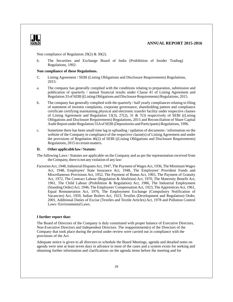

Non compliance of Regulation 29(2) & 30(2).

b. The Securities and Exchange Board of India (Prohibition of Insider Trading) Regulations, 1992:

### **Non compliance of these Regulations.**

- C. Listing Agreement / SEBI (Listing Obligations and Disclosure Requirements) Regulations, 2015:
- a. The company has generally complied with the conditions relating to preparation, submission and publication of quarterly / annual financial results under Clause 41 of Listing Agreement and Regulation 33 of SEBI ((Listing Obligations and Disclosure Requirements) Regulations, 2015.
- b. The company has generally complied with the quarterly / half yearly compliances relating to filing of statement of investor complaints, corporate governance, shareholding pattern and compliance certificate certifying maintaining physical and electronic transfer facility under respective clauses of Listing Agreement and Regulation 13(3), 27(2), 31 & 7(3) respectively of SEBI ((Listing Obligations and Disclosure Requirements) Regulations, 2015 and Reconciliation of Share Capital Audit Report under Regulation 55Aof SEBI (Depositories and Participants) Regulations, 1996.
- c. Sometime there has been small time lag in uploading / updation of documents / information on the website of the Company in compliance of the respective clause(s) of Listing Agreement and under the provisions of Regulation 46(2) of SEBI ((Listing Obligations and Disclosure Requirements) Regulations, 2015 in certain matters.

### **D. Other applicable law / Statute:**

- The following Laws / Statutes are applicable on the Company and as per the representation received from the Company, there is not any violation of any law:
- Factories Act, 1948, Industrial Disputes Act, 1947, The Payment of Wages Act, 1936, The Minimum Wages Act, 1948, Employees' State Insurance Act, 1948, The Employees' Provident Funds and Miscellaneous Provisions Act, 1952, The Payment of Bonus Act, 1965, The Payment of Gratuity Act, 1972, The Contract Labour (Regulation & Abolition) Act, 1970, The Maternity Benefit Act, 1961, The Child Labour (Prohibition & Regulation) Act, 1986, The Industrial Employment (Standing Order) Act, 1946, The Employees' Compensation Act, 1923, The Apprentices Act, 1961, Equal Remuneration Act, 1976, The Employment Exchange (Compulsory Notification of Vacancies) Act, 1959, Indian Boilers Act, 1923, Textiles (Development and Regulation) Order, 2001, Additional Duties of Excise (Textiles and Textile Articles) Act, 1978 and Pollution Control Laws / Environmental Laws.

#### **I further report that:**

The Board of Directors of the Company is duly constituted with proper balance of Executive Directors, Non-Executive Directors and Independent Directors. The reappointment(s) of the Directors of the Company that took place during the period under review were carried out in compliance with the provisions of the Act.

Adequate notice is given to all directors to schedule the Board Meetings, agenda and detailed notes on agenda were sent at least seven days in advance in most of the cases and a system exists for seeking and obtaining further information and clarifications on the agenda items before the meeting and for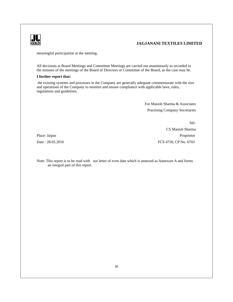

meaningful participation at the meeting.

an integral part of this report.

All decisions at Board Meetings and Committee Meetings are carried out unanimously as recorded in the minutes of the meetings of the Board of Directors or Committee of the Board, as the case may be.

### **I further report that:**

 the existing systems and processes in the Company are generally adequate commensurate with the size and operations of the Company to monitor and ensure compliance with applicable laws, rules, regulations and guidelines.

> For Manish Sharma & Associates Practising Company Secretaries

Sd/- CS Manish Sharma Place: Jaipur Proprietor Date : 28.05.2016 FCS 4750, CP No. 6703

Note: This report is to be read with our letter of even date which is annexed as Annexure A and forms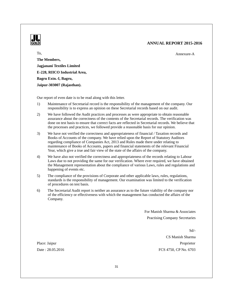

To,

Annexure-A

**The Members, Jagjanani Textiles Limited E-228, RIICO Industrial Area, Bagru Extn.-I, Bagru, Jaipur-303007 (Rajasthan).**

Our report of even date is to be read along with this letter.

- 1) Maintenance of Secretarial record is the responsibility of the management of the company. Our responsibility is to express an opinion on these Secretarial records based on our audit.
- 2) We have followed the Audit practices and processes as were appropriate to obtain reasonable assurance about the correctness of the contents of the Secretarial records. The verification was done on test basis to ensure that correct facts are reflected in Secretarial records. We believe that the processes and practices, we followed provide a reasonable basis for our opinion.
- 3) We have not verified the correctness and appropriateness of financial / Taxation records and Books of Accounts of the company. We have relied upon the Report of Statutory Auditors regarding compliance of Companies Act, 2013 and Rules made there under relating to maintenance of Books of Accounts, papers and financial statements of the relevant Financial Year, which give a true and fair view of the state of the affairs of the company.
- 4) We have also not verified the correctness and appropriateness of the records relating to Labour Laws due to not providing the same for our verification. Where ever required, we have obtained the Management representation about the compliance of various Laws, rules and regulations and happening of events etc.
- 5) The compliance of the provisions of Corporate and other applicable laws, rules, regulations, standards is the responsibility of management. Our examination was limited to the verification of procedures on test basis.
- 6) The Secretarial Audit report is neither an assurance as to the future viability of the company nor of the efficiency or effectiveness with which the management has conducted the affairs of the Company.

For Manish Sharma & Associates Practising Company Secretaries

Sd/- CS Manish Sharma Place: Jaipur Proprietor Date : 28.05.2016 FCS 4750, CP No. 6703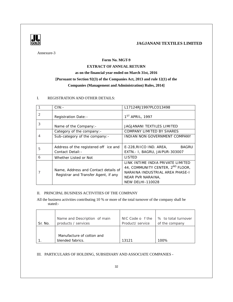

Annexure-3

### **Form No. MGT-9**

### **EXTRACT OF ANNUAL RETURN**

### **as on the financial year ended on March 31st, 2016**

### **[Pursuant to Section 92(3) of the Companies Act, 2013 and rule 12(1) of the**

### **Companies (Management and Administration) Rules, 2014]**

### I. REGISTRATION AND OTHER DETAILS:

|   | CIN:                                                                         | L17124RJ1997PLCO13498                                                                                                                                                |
|---|------------------------------------------------------------------------------|----------------------------------------------------------------------------------------------------------------------------------------------------------------------|
| 2 | Registration Date: -                                                         | 1 <sup>ST</sup> APRIL, 1997                                                                                                                                          |
| 3 | Name of the Company: -                                                       | <b>JAGJANANI TEXTILES LIMITED</b>                                                                                                                                    |
|   | Category of the company: -                                                   | COMPANY LIMITED BY SHARES                                                                                                                                            |
|   | Sub-category of the company: -                                               | INDIAN NON GOVERNMENT COMPANY                                                                                                                                        |
| 5 | Address of the registered off ice and<br>Contact Detail: -                   | E-228, RIICO IND. AREA,<br><b>BAGRU</b><br>EXTN. - I, BAGRU, JAIPUR-303007                                                                                           |
| 6 | Whether Listed or Not                                                        | LISTED                                                                                                                                                               |
|   | Name, Address and Contact details of<br>Registrar and Transfer Agent, if any | LINK INTIME INDIA PRIVATE LIMITED<br>44, COMMUNITY CENTER, 2 <sup>ND</sup> FLOOR,<br>NARAINA INDUSTRIAL AREA PHASE-I<br>NEAR PVR NARAINA,<br><b>NEW DELHI-110028</b> |

### II. PRINCIPAL BUSINESS ACTIVITIES OF THE COMPANY

All the business activities contributing 10 % or more of the total turnover of the company shall be stated:-

| Sr. No. | Name and Description of main                  | NIC Code o f the | % to total turnover |
|---------|-----------------------------------------------|------------------|---------------------|
|         | products / services                           | Product/ service | of the company      |
|         | Manufacture of cotton and<br>blended fabrics. | 13121            | 100%                |

### III. PARTICULARS OF HOLDING, SUBSIDIARY AND ASSOCIATE COMPANIES -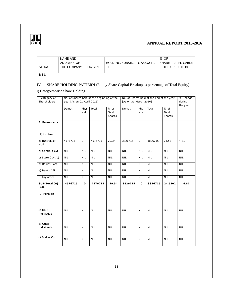

| - Sr. No.  | NAME AND<br>ADDRESS OF<br>THE COMPANY | CIN/GLN | HOLDING/SUBSIDARY/ASSOCIA | % OF<br><b>SHARE</b> | APPLICABLE<br>S HELD I SECTION |
|------------|---------------------------------------|---------|---------------------------|----------------------|--------------------------------|
| <b>NIL</b> |                                       |         |                           |                      |                                |

### IV. SHARE HOLDING PATTERN (Equity Share Capital Breakup as percentage of Total Equity)

### i) Category-wise Share Holding

| category of<br>Shareholders              | No. of Shares held at the beginning of the<br>No. of Shares held at the end of the year<br>year [As on 01-April-2015]<br>[As on 31-March-2016] |              |            |                         |            |              |            | % Change<br>during<br>the year |            |
|------------------------------------------|------------------------------------------------------------------------------------------------------------------------------------------------|--------------|------------|-------------------------|------------|--------------|------------|--------------------------------|------------|
|                                          | Demat                                                                                                                                          | Phys<br>ical | Total      | % of<br>Total<br>Shares | Demat      | Phy<br>sical | Total      | % of<br>Total<br>Shares        |            |
| A. Promoter s                            |                                                                                                                                                |              |            |                         |            |              |            |                                |            |
| $(1)$ Indian                             |                                                                                                                                                |              |            |                         |            |              |            |                                |            |
| a) Individual/<br><b>HUF</b>             | 4576715                                                                                                                                        | $\circ$      | 4576715    | 29.34                   | 3826715    | $\circ$      | 3826715    | 24.53                          | 4.81       |
| b) Central Govt                          | <b>NIL</b>                                                                                                                                     | <b>NIL</b>   | <b>NIL</b> | <b>NIL</b>              | <b>NIL</b> | <b>NIL</b>   | <b>NIL</b> | <b>NIL</b>                     | <b>NIL</b> |
| c) State Govt(s)                         | <b>NIL</b>                                                                                                                                     | <b>NIL</b>   | <b>NIL</b> | <b>NIL</b>              | <b>NIL</b> | <b>NIL</b>   | <b>NIL</b> | <b>NIL</b>                     | <b>NIL</b> |
| d) Bodies Corp.                          | <b>NIL</b>                                                                                                                                     | <b>NIL</b>   | <b>NIL</b> | <b>NIL</b>              | <b>NIL</b> | <b>NIL</b>   | <b>NIL</b> | <b>NIL</b>                     | <b>NIL</b> |
| e) Banks / FI                            | <b>NIL</b>                                                                                                                                     | <b>NIL</b>   | <b>NIL</b> | <b>NIL</b>              | <b>NIL</b> | <b>NIL</b>   | <b>NIL</b> | <b>NIL</b>                     | <b>NIL</b> |
| f) Any other                             | <b>NIL</b>                                                                                                                                     | <b>NIL</b>   | <b>NIL</b> | <b>NIL</b>              | <b>NIL</b> | <b>NIL</b>   | <b>NIL</b> | <b>NIL</b>                     | <b>NIL</b> |
| SUB-Total (A)<br>(1):                    | 4576715                                                                                                                                        | $\circ$      | 4576715    | 29.34                   | 3826715    | $\circ$      | 3826715    | 24.5302                        | 4.81       |
| (2) Foreign                              |                                                                                                                                                |              |            |                         |            |              |            |                                |            |
| a) NRIs<br>$\overline{a}$<br>Individuals | <b>NIL</b>                                                                                                                                     | <b>NIL</b>   | NIL.       | NIL.                    | NIL.       | <b>NIL</b>   | <b>NIL</b> | NIL.                           | <b>NIL</b> |
| b) Other<br>$\equiv$<br>Individuals      | <b>NIL</b>                                                                                                                                     | <b>NIL</b>   | NIL.       | <b>NIL</b>              | NIL.       | <b>NIL</b>   | <b>NIL</b> | <b>NIL</b>                     | <b>NIL</b> |
| c) Bodies Corp.                          | <b>NIL</b>                                                                                                                                     | <b>NIL</b>   | <b>NIL</b> | <b>NIL</b>              | <b>NIL</b> | <b>NIL</b>   | <b>NIL</b> | <b>NIL</b>                     | <b>NIL</b> |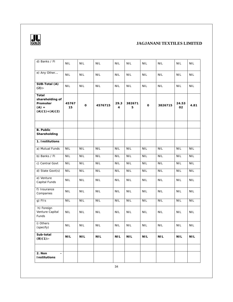

| d) Banks / FI                                                        | <b>NIL</b>  | <b>NIL</b>       | <b>NIL</b> | <b>NIL</b> | <b>NIL</b>  | <b>NIL</b>     | <b>NIL</b> | <b>NIL</b>     | <b>NIL</b> |
|----------------------------------------------------------------------|-------------|------------------|------------|------------|-------------|----------------|------------|----------------|------------|
| e) Any Other                                                         | <b>NIL</b>  | <b>NIL</b>       | <b>NIL</b> | <b>NIL</b> | <b>NIL</b>  | <b>NIL</b>     | <b>NIL</b> | <b>NIL</b>     | <b>NIL</b> |
| SUB-Total (A)<br>$(2)$ :-                                            | <b>NIL</b>  | <b>NIL</b>       | <b>NIL</b> | <b>NIL</b> | <b>NIL</b>  | <b>NIL</b>     | <b>NIL</b> | <b>NIL</b>     | <b>NIL</b> |
| Total<br>shareholding of<br>Promoter<br>$(A) =$<br>$(A)(1) + (A)(2)$ | 45767<br>15 | $\mathsf O$      | 4576715    | 29.3<br>4  | 382671<br>5 | $\mathsf O$    | 3826715    | 24.53<br>02    | 4.81       |
| <b>B.</b> Public                                                     |             |                  |            |            |             |                |            |                |            |
| Shareholding                                                         |             |                  |            |            |             |                |            |                |            |
| 1. Institutions                                                      |             |                  |            |            |             |                |            |                |            |
| a) Mutual Funds                                                      | <b>NIL</b>  | <b>NIL</b>       | <b>NIL</b> | <b>NIL</b> | <b>NIL</b>  | <b>NIL</b>     | <b>NIL</b> | <b>NIL</b>     | <b>NIL</b> |
| b) Banks / FI                                                        | <b>NIL</b>  | <b>NIL</b>       | <b>NIL</b> | <b>NIL</b> | <b>NIL</b>  | <b>NIL</b>     | <b>NIL</b> | <b>NIL</b>     | <b>NIL</b> |
| c) Central Govt                                                      | <b>NIL</b>  | <b>NIL</b>       | <b>NIL</b> | <b>NIL</b> | <b>NIL</b>  | <b>NIL</b>     | <b>NIL</b> | <b>NIL</b>     | <b>NIL</b> |
| d) State Govt(s)                                                     | <b>NIL</b>  | $\overline{NIL}$ | <b>NIL</b> | <b>NIL</b> | <b>NIL</b>  | <b>NIL</b>     | <b>NIL</b> | <b>NIL</b>     | <b>NIL</b> |
| e) Venture<br>Capital Funds                                          | <b>NIL</b>  | <b>NIL</b>       | <b>NIL</b> | <b>NIL</b> | <b>NIL</b>  | <b>NIL</b>     | <b>NIL</b> | <b>NIL</b>     | <b>NIL</b> |
| f) Insurance<br>Companies                                            | <b>NIL</b>  | <b>NIL</b>       | <b>NIL</b> | <b>NIL</b> | <b>NIL</b>  | <b>NIL</b>     | <b>NIL</b> | <b>NIL</b>     | <b>NIL</b> |
| g) FIIs                                                              | <b>NIL</b>  | <b>NIL</b>       | <b>NIL</b> | <b>NIL</b> | <b>NIL</b>  | <b>NIL</b>     | <b>NIL</b> | <b>NIL</b>     | <b>NIL</b> |
| h) Foreign<br>Venture Capital<br>Funds                               | <b>NIL</b>  | <b>NIL</b>       | <b>NIL</b> | <b>NIL</b> | <b>NIL</b>  | <b>NIL</b>     | <b>NIL</b> | <b>NIL</b>     | <b>NIL</b> |
| i) Others<br>(specify)                                               | <b>NIL</b>  | <b>NIL</b>       | <b>NIL</b> | <b>NIL</b> | <b>NIL</b>  | <b>NIL</b>     | <b>NIL</b> | <b>NIL</b>     | <b>NIL</b> |
| Sub-total<br>$(B)(1)$ :-                                             | <b>NIL</b>  | $\mathsf{NIL}$   | <b>NIL</b> | <b>NIL</b> | <b>NIL</b>  | $\mathsf{NIL}$ | <b>NIL</b> | $\mathsf{NIL}$ | <b>NIL</b> |
| 2. Non<br>÷,<br>Institutions                                         |             |                  |            | 34         |             |                |            |                |            |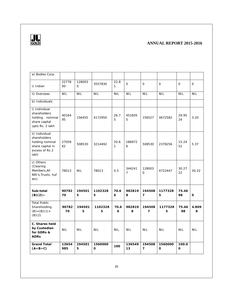

| a) Bodies Corp.                                                                                 |              |                    |                    |                      |                          |                          |                    |                  |              |
|-------------------------------------------------------------------------------------------------|--------------|--------------------|--------------------|----------------------|--------------------------|--------------------------|--------------------|------------------|--------------|
| i) Indian                                                                                       | 22778<br>00  | 128003<br>$\Omega$ | 3557830            | 22.8<br>$\mathbf{1}$ | $\overline{O}$           | $\mathbf{O}$             | $\mathbf{O}$       | $\mathbf{O}$     | $\mathbf{O}$ |
| ii) Overseas                                                                                    | <b>NIL</b>   | <b>NIL</b>         | <b>NIL</b>         | <b>NIL</b>           | <b>NIL</b>               | <b>NIL</b>               | <b>NIL</b>         | <b>NIL</b>       | <b>NIL</b>   |
| b) Individuals                                                                                  |              |                    |                    |                      |                          |                          |                    |                  |              |
| i) Individual<br>shareholders<br>holding nominal<br>share capital<br>upto Rs. 2 lakh            | 40164<br>95  | 156455             | 4172950            | 26.7<br>5            | 451605<br>5              | 156527                   | 4672582            | 29.95<br>24      | 3.20         |
| ii) Individual<br>shareholders<br>holding nominal<br>share capital in<br>excess of Rs 2<br>lakh | 27059<br>62  | 508530             | 3214492            | 20.6<br>1            | 186972<br>6              | 508530                   | 2378256            | 15.24<br>52      | 5.37         |
| c) Others<br>(Clearing<br>Members, All<br>NRI's, Trusts, huf<br>etc)                            | 78013        | <b>NIL</b>         | 78013              | 0.5                  | 344241<br>$\overline{7}$ | 128003<br>$\mathbf{O}$   | 4722447            | 30.27<br>22      | 30.22        |
| Sub-total<br>$(B)(2)$ :-                                                                        | 90782<br>70  | 194501<br>5        | 1102328<br>5       | 70.6<br>6            | 982819<br>8              | 194508<br>7              | 1177328<br>5       | 75.46<br>98      | $\circ$      |
| <b>Total Public</b><br>Shareholding<br>$(B) = (B)(1) +$<br>(B)(2)                               | 90782<br>70  | 194501<br>5        | 1102328<br>5       | 70.6<br>6            | 982819<br>8              | 194508<br>$\overline{7}$ | 1177328<br>5       | 75.46<br>98      | 4.809<br>8   |
| C. Shares held<br>by Custodian<br>for GDRs &<br><b>ADRs</b>                                     | <b>NIL</b>   | <b>NIL</b>         | <b>NIL</b>         | <b>NIL</b>           | <b>NIL</b>               | <b>NIL</b>               | <b>NIL</b>         | <b>NIL</b>       | <b>NIL</b>   |
| <b>Grand Total</b><br>$(A+B+C)$                                                                 | 13654<br>985 | 194501<br>5        | 1560000<br>$\circ$ | 100                  | 136549<br>13             | 194508<br>$\overline{7}$ | 1560000<br>$\circ$ | 100.0<br>$\circ$ |              |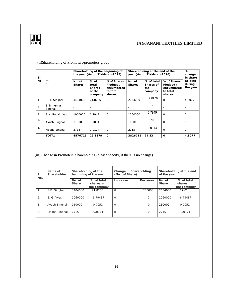

| SI. |                       |                         |                                                       | Shareholding at the beginning of<br>the year [As on 31-March-2015] | Share holding at the end of the<br>year [As on 31-March-2016] | $\%$<br>change<br>in share                |                                                              |                               |
|-----|-----------------------|-------------------------|-------------------------------------------------------|--------------------------------------------------------------------|---------------------------------------------------------------|-------------------------------------------|--------------------------------------------------------------|-------------------------------|
| No. |                       | No. of<br><b>Shares</b> | $%$ of<br>total<br><b>Shares</b><br>of the<br>company | % of Shares<br>Pledged /<br>encumbered<br>to total<br>shares       | No. of<br><b>Shares</b>                                       | % of total<br>Shares of<br>the<br>company | % of Shares<br>Pledged /<br>encumbered<br>to total<br>shares | holding<br>during<br>the year |
|     | S. K. Singhal         | 3404000                 | 21.8205                                               | $\Omega$                                                           | 2654000                                                       | 17.0128                                   | $\Omega$                                                     | 4.8077                        |
| 2.  | Shiv Kumar<br>Singhal |                         |                                                       |                                                                    |                                                               |                                           |                                                              |                               |
| 3.  | Shri Gopal Vyas       | 1060000                 | 6.7949                                                | $\Omega$                                                           | 1060000                                                       | 6.7949                                    | $\Omega$                                                     | 0                             |
| 4.  | Ayush Singhal         | 110000                  | 0.7051                                                | $\Omega$                                                           | 110000                                                        | 0.7051                                    | $\Omega$                                                     | 0                             |
| 5.  | Megha Singhal         | 2715                    | 0.0174                                                | $\Omega$                                                           | 2715                                                          | 0.0174                                    | $\Omega$                                                     | $\Omega$                      |
|     | <b>TOTAL</b>          | 4576715                 | 29.3379                                               | $\Omega$                                                           | 3826715                                                       | 24.53                                     | $\Omega$                                                     | 4.8077                        |

### (ii)Shareholding of Promoters/promoters group

### (iii) Change in Promoters' Shareholding (please specify, if there is no change)

| Sr.<br>No. | Name of<br>Shareholder | Shareholding at the<br>beginning of the year |                                        | Change in Shareholding<br>(No., of Share) |          | Shareholding at the end<br>of the year |                                        |  |
|------------|------------------------|----------------------------------------------|----------------------------------------|-------------------------------------------|----------|----------------------------------------|----------------------------------------|--|
|            |                        | No. of<br>Share                              | % of total<br>shares in<br>the company | ncrease                                   | Decrease | No. of<br>Share                        | % of total<br>shares in<br>the company |  |
|            | S.K. Singhal           | 3404000                                      | 21.8205                                | $\Omega$                                  | 750000   | 2654000                                | 17.01                                  |  |
| 2.         | S. G. Vyas             | 1060000                                      | 6.79487                                | $\Omega$                                  | $\Omega$ | 1060000                                | 6.79487                                |  |
| 3.         | Ayush Singhal          | 110000                                       | 0.7051                                 | $\Omega$                                  | $\Omega$ | 110000                                 | 0.7051                                 |  |
| 4.         | Megha Singhal          | 2715                                         | 0.0174                                 | $\Omega$                                  | $\Omega$ | 2715                                   | 0.0174                                 |  |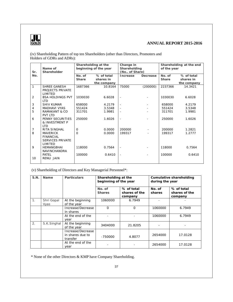

### (iv) Shareholding Pattern of top ten Shareholders (other than Directors, Promoters and Holders of GDRs and ADRs):

| Sr.            | Name of<br>Shareholder                                             | Shareholding at the<br>beginning of the year |                                        | Change in<br>Shareholding<br>(No., of Share) |          | Shareholding at the end<br>of the year |                                        |
|----------------|--------------------------------------------------------------------|----------------------------------------------|----------------------------------------|----------------------------------------------|----------|----------------------------------------|----------------------------------------|
| No.            |                                                                    | No. of<br>Share                              | % of total<br>shares in<br>the company | Increase                                     | Decrease | No. of<br>Share                        | % of total<br>shares in<br>the company |
| $\mathbf{1}$   | SHREE GANESH<br>PROJECTS PRIVATE<br>LIMITED                        | 1687366                                      | 10.8164                                | 75000                                        | (200000) | 2237366                                | 14.3421                                |
| 2              | <b>BSA HOLDINGS PVT</b><br><b>LTD</b>                              | 1030030                                      | 6.6028                                 |                                              |          | 1030030                                | 6.6028                                 |
| 3              | <b>SHIV KUMAR</b>                                                  | 658000                                       | 4.2179                                 |                                              |          | 658000                                 | 4.2179                                 |
| 4              | <b>MADHAVI VYAS</b>                                                | 551424                                       | 3.5348                                 |                                              |          | 551424                                 | 3.5348                                 |
| 5              | RAMAKANT & CO<br>PVT LTD                                           | 311701                                       | 1.9981                                 | $\overline{\phantom{a}}$                     |          | 311701                                 | 1.9981                                 |
| 6              | PENNY SECURITIES<br>& INVESTMENT P<br><b>LTD</b>                   | 250000                                       | 1.6026                                 |                                              |          | 250000                                 | 1.6026                                 |
| $\overline{7}$ | <b>RITA SINGHAL</b>                                                | $\circ$                                      | 0.0000                                 | 200000                                       |          | 200000                                 | 1.2821                                 |
| 8              | <b>MAVERICK</b><br><b>FINANCIAL</b><br>SERVICES PRIVATE<br>LIMITED | $\Omega$                                     | 0.0000                                 | 199317                                       |          | 199317                                 | 1.2777                                 |
| 9              | <b>HEMANGBHAI</b><br><b>NAVINCHANDRA</b>                           | 118000                                       | 0.7564                                 |                                              |          | 118000                                 | 0.7564                                 |
| 10             | <b>PATEL</b><br>RENU JAIN                                          | 100000                                       | 0.6410                                 | $\overline{\phantom{a}}$                     |          | 100000                                 | 0.6410                                 |

### (v) Shareholding of Directors and Key Managerial Personnel\*:

| S.N.           | Name               | Particulars                                       | Shareholding at the<br>beginning of the year |                                        | Cumulative shareholding<br>during the year |                                        |  |
|----------------|--------------------|---------------------------------------------------|----------------------------------------------|----------------------------------------|--------------------------------------------|----------------------------------------|--|
|                |                    |                                                   | No. of<br><b>Shares</b>                      | % of total<br>shares of the<br>company | $No.$ $of$<br>shares                       | % of total<br>shares of the<br>company |  |
| $\mathbf{1}$ . | Shri Gopal<br>Vyas | At the beginning<br>of the year                   | 1060000                                      | 6.7949                                 |                                            |                                        |  |
|                |                    | Increase/Decrease<br>in shares                    | $\Omega$                                     | $\Omega$                               | 1060000                                    | 6.7949                                 |  |
|                |                    | At the end of the<br>year                         |                                              |                                        | 1060000                                    | 6.7949                                 |  |
| 2.             | S.K.Singhal        | At the beginning<br>of the year                   | 3404000                                      | 21.8205                                |                                            |                                        |  |
|                |                    | Increase/Decrease<br>in shares due to<br>transfer | $-750000$                                    | 4.8077                                 | 2654000                                    | 17.0128                                |  |
|                |                    | At the end of the<br>vear                         |                                              |                                        | 2654000                                    | 17.0128                                |  |

\* None of the other Directors & KMP have Company Shareholding.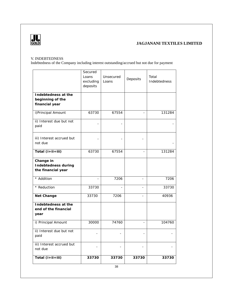

### V. INDEBTEDNESS

Indebtedness of the Company including interest outstanding/accrued but not due for payment

|                                                           | Secured<br>Loans<br>excluding<br>deposits | Unsecured<br>Loans | Deposits       | Total<br>Indebtedness |
|-----------------------------------------------------------|-------------------------------------------|--------------------|----------------|-----------------------|
| Indebtedness at the<br>beginning of the<br>financial year |                                           |                    |                |                       |
| i) Principal Amount                                       | 63730                                     | 67554              |                | 131284                |
| ii) Interest due but not<br>paid                          |                                           |                    |                |                       |
| iii) Interest accrued but<br>not due                      |                                           |                    |                |                       |
| Total $(i+ii+iii)$                                        | 63730                                     | 67554              |                | 131284                |
| Change in<br>Indebtedness during<br>the financial year    |                                           |                    |                |                       |
| * Addition                                                |                                           | 7206               |                | 7206                  |
| * Reduction                                               | 33730                                     | $\overline{a}$     |                | 33730                 |
| Net Change                                                | 33730                                     | 7206               | $\overline{a}$ | 40936                 |
| Indebtedness at the<br>end of the financial<br>year       |                                           |                    |                |                       |
| i) Principal Amount                                       | 30000                                     | 74760              |                | 104760                |
| ii) Interest due but not<br>paid                          |                                           |                    |                |                       |
| iii) Interest accrued but<br>not due                      |                                           |                    |                |                       |
| Total (i+ii+iii)                                          | 33730                                     | 33730              | 33730          | 33730                 |
|                                                           |                                           | 38                 |                |                       |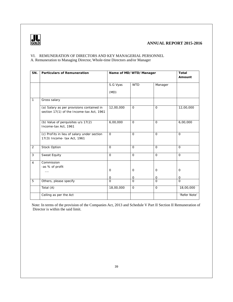

### VI. REMUNERATION OF DIRECTORS AND KEY MANAGERIAL PERSONNEL A. Remuneration to Managing Director, Whole-time Directors and/or Manager

| SN.            | Particulars of Remuneration                                                            | Name of MD/WTD/Manager |                |              | Total<br>Amount |
|----------------|----------------------------------------------------------------------------------------|------------------------|----------------|--------------|-----------------|
|                |                                                                                        | S.G Vyas               | <b>WTD</b>     | Manager      |                 |
|                |                                                                                        | (MD)                   |                |              |                 |
| $\mathbf{1}$   | Gross salary                                                                           |                        |                |              |                 |
|                | (a) Salary as per provisions contained in<br>section 17(1) of the Income-tax Act, 1961 | 12,00,000              | $\Omega$       | $\mathbf{O}$ | 12,00,000       |
|                | (b) Value of perquisites u/s 17(2)<br>Income-tax Act, 1961                             | 6,00,000               | $\mathcal{O}$  | $\mathbf{O}$ | 6,00,000        |
|                | (c) Profits in lieu of salary under section<br>17(3) Income- tax Act, 1961             | $\Omega$               | $\Omega$       | $\Omega$     | $\Omega$        |
| 2              | Stock Option                                                                           | $\Omega$               | $\mathcal{O}$  | $\mathbf{O}$ | $\Omega$        |
| 3              | Sweat Equity                                                                           | $\Omega$               | $\overline{O}$ | $\Omega$     | $\mathbf 0$     |
| $\overline{4}$ | Commission<br>-as % of profit                                                          | $\circ$                | $\circ$        | $\circ$      | $\circ$         |
|                |                                                                                        | $\Omega$               | O              | $\circ$      | $\circ$         |
| 5              | Others, please specify                                                                 | $\Omega$               | $\Omega$       | $\Omega$     | $\Omega$        |
|                | Total (A)                                                                              | 18,00,000              | $\Omega$       | $\mathbf{O}$ | 18,00,000       |
|                | Ceiling as per the Act                                                                 |                        |                |              | 'Refer Note'    |

Note: In terms of the provision of the Companies Act, 2013 and Schedule V Part II Section II Remuneration of Director is within the said limit.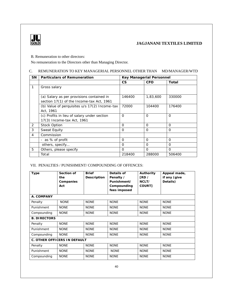

B. Remuneration to other directors:

No remuneration to the Directors other than Managing Director.

### C. REMUNERATION TO KEY MANAGERIAL PERSONNEL OTHER THAN MD/MANAGER/WTD

| <b>SN</b>      | <b>Particulars of Remuneration</b>            |          | Key Managerial Personnel |          |  |  |
|----------------|-----------------------------------------------|----------|--------------------------|----------|--|--|
|                |                                               | CS       | <b>CFO</b>               | Total    |  |  |
| 1              | Gross salary                                  |          |                          |          |  |  |
|                |                                               |          |                          |          |  |  |
|                | (a) Salary as per provisions contained in     | 146400   | 1,83,600                 | 330000   |  |  |
|                | section 17(1) of the Income-tax Act, 1961     |          |                          |          |  |  |
|                | (b) Value of perquisites u/s 17(2) Income-tax | 72000    | 104400                   | 176400   |  |  |
|                | Act, 1961                                     |          |                          |          |  |  |
|                | (c) Profits in lieu of salary under section   | $\Omega$ | $\Omega$                 | $\Omega$ |  |  |
|                | 17(3) Income-tax Act, 1961                    |          |                          |          |  |  |
| 2              | <b>Stock Option</b>                           | $\Omega$ | $\Omega$                 | $\Omega$ |  |  |
| 3              | Sweat Equity                                  | $\Omega$ | $\Omega$                 | $\Omega$ |  |  |
| $\overline{4}$ | Commission                                    |          |                          |          |  |  |
|                | - as % of profit                              | $\Omega$ | $\Omega$                 | $\Omega$ |  |  |
|                | others, specify                               | $\Omega$ | $\Omega$                 | $\Omega$ |  |  |
| 5              | Others, please specify                        | $\Omega$ | $\Omega$                 | $\Omega$ |  |  |
|                | Total                                         | 218400   | 288000                   | 506400   |  |  |

### VII. PENALTIES / PUNISHMENT/ COMPOUNDING OF OFFENCES:

| Type                | Section of<br>the<br>Companies<br>Act | <b>Brief</b><br>Description | Details of<br>Penalty /<br>Punishment/<br>Compounding<br>fees imposed | Authority<br>FRD /<br>NCLT/<br>COURT1 | Appeal made,<br>if any (give<br>Details) |
|---------------------|---------------------------------------|-----------------------------|-----------------------------------------------------------------------|---------------------------------------|------------------------------------------|
| A. COMPANY          |                                       |                             |                                                                       |                                       |                                          |
| Penalty             | <b>NONE</b>                           | <b>NONE</b>                 | <b>NONE</b>                                                           | <b>NONE</b>                           | <b>NONE</b>                              |
| Punishment          | <b>NONE</b>                           | <b>NONE</b>                 | <b>NONE</b>                                                           | <b>NONE</b>                           | <b>NONE</b>                              |
| Compounding         | <b>NONE</b>                           | <b>NONE</b>                 | <b>NONE</b>                                                           | <b>NONE</b>                           | <b>NONE</b>                              |
| <b>B. DIRECTORS</b> |                                       |                             |                                                                       |                                       |                                          |
| Penalty             | <b>NONE</b>                           | <b>NONE</b>                 | <b>NONE</b>                                                           | <b>NONE</b>                           | <b>NONE</b>                              |
| Punishment          | <b>NONE</b>                           | <b>NONE</b>                 | <b>NONE</b>                                                           | <b>NONE</b>                           | <b>NONE</b>                              |
| Compounding         | <b>NONE</b>                           | <b>NONE</b>                 | <b>NONE</b>                                                           | <b>NONE</b>                           | <b>NONE</b>                              |
|                     | C. OTHER OFFICERS IN DEFAULT          |                             |                                                                       |                                       |                                          |
| Penalty             | <b>NONE</b>                           | <b>NONE</b>                 | <b>NONE</b>                                                           | <b>NONE</b>                           | <b>NONE</b>                              |
| Punishment          | <b>NONE</b>                           | <b>NONE</b>                 | <b>NONE</b>                                                           | <b>NONE</b>                           | <b>NONE</b>                              |
| Compounding         | <b>NONE</b>                           | <b>NONE</b>                 | <b>NONE</b>                                                           | <b>NONE</b>                           | <b>NONE</b>                              |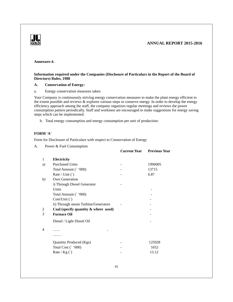

### **Annexure-4.**

### **Information required under the Companies (Disclosure of Particulars in the Report of the Board of Directors) Rules, 1988**

### **A. Conservation of Energy:**

### a. Energy conservation measures taken

Your Company is continuously striving energy conservation measures to make the plant energy efficient to the extent possible and reviews & explores various steps to conserve energy. In order to develop the energy efficiency approach among the staff, the company organizes regular meetings and reviews the power consumption pattern periodically. Staff and workmen are encouraged to make suggestions for energy saving steps which can be implemented.

b. Total energy consumption and energy consumption per unit of production:

### **FORM 'A'**

Form for Disclosure of Particulars with respect to Conservation of Energy

A. Power & Fuel Consumption

|    |                                         | <b>Current Year</b> | <b>Previous Year</b> |
|----|-----------------------------------------|---------------------|----------------------|
| 1  | Electricity                             |                     |                      |
| a) | <b>Purchased Units</b>                  |                     | 1996005              |
|    | Total Amount (` '000)                   |                     | 13715                |
|    | Rate / Unit $()$                        |                     | 6.87                 |
| b) | Own Generation                          |                     |                      |
|    | i) Through Diesel Generator             |                     |                      |
|    | Units                                   |                     |                      |
|    | Total Amount (`'000)                    |                     |                      |
|    | Cost/Unit (`)                           |                     |                      |
|    | ii) Through steam Turbine/Generators    |                     |                      |
| 2  | Coal (specify quantity $\&$ where used) |                     |                      |
| 3  | <b>Furnace Oil</b>                      |                     |                      |
|    | Diesel / Light Diesel Oil               |                     |                      |
| 4  |                                         |                     |                      |
|    |                                         |                     |                      |
|    | Quantity Produced (Kgs)                 |                     | 125928               |
|    | Total Cost (` '000)                     |                     | 1652                 |
|    | Rate / $Kg()$                           |                     | 13.12                |
|    |                                         |                     |                      |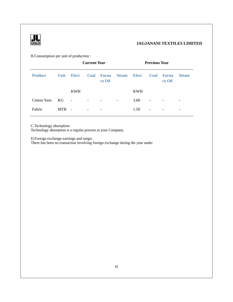

B.Consumption per unit of production :

|                | <b>Current Year</b> |              |                          | <b>Previous Year</b>     |                          |              |                          |                          |                          |
|----------------|---------------------|--------------|--------------------------|--------------------------|--------------------------|--------------|--------------------------|--------------------------|--------------------------|
| <b>Product</b> | Unit                | <b>Elect</b> | Coal                     | Furna<br>ce Oil          | <b>Steam</b>             | <b>Elect</b> | Coal                     | <b>Furna</b><br>ce Oil   | <b>Steam</b>             |
|                |                     | <b>KWH</b>   |                          |                          |                          | <b>KWH</b>   |                          |                          |                          |
| Cotton Yarn    | KG                  | $\sim$ $-$   | $\overline{\phantom{a}}$ | $\overline{\phantom{a}}$ | $\overline{\phantom{a}}$ | 3.60         | $\overline{\phantom{a}}$ | $\overline{\phantom{a}}$ | $\overline{\phantom{a}}$ |
| Fabric         | <b>MTR</b>          | $\sim$       | $\overline{\phantom{a}}$ | $\overline{\phantom{a}}$ |                          | 1.50         | $\overline{\phantom{a}}$ | $\overline{\phantom{a}}$ | $\overline{\phantom{a}}$ |

C.Technology absorption:

Technology absorption is a regular process at your Company.

D.Foreign exchange earnings and outgo: There has been no transaction involving foreign exchange during the year under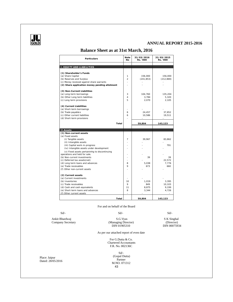

### **Balance Sheet as at 31st March, 2016**

| Particulars                                   | Note<br>N <sub>O</sub> | 31/03/2016<br>Rs. '000 | 31/03/2015<br>Rs. '000 |
|-----------------------------------------------|------------------------|------------------------|------------------------|
|                                               |                        |                        |                        |
| I. EQUITY AND LIABILITIES                     |                        |                        |                        |
| (1) Shareholder's Funds                       |                        |                        |                        |
| (a) Share Capital                             | 1                      | 156,000                | 156,000                |
| (b) Reserves and Surplus                      | $\mathfrak{D}$         | (241, 853)             | (212, 869)             |
| (c) Money received against share warrants     |                        |                        |                        |
| (2) Share application money pending allotment |                        |                        |                        |
| (3) Non-Current Liabilities                   |                        |                        |                        |
| (a) Long-term borrowings                      | 3                      | 104,760                | 135,204                |
| (b) Other Long term liabilities               | $\overline{4}$         | 3.784                  | 5.320                  |
| (c) Long term provisions                      | 5                      | 2,070                  | 2,105                  |
| (4) Current Liabilities                       |                        |                        |                        |
| (a) Short-term borrowings                     |                        |                        |                        |
| (b) Trade payables                            | 6                      | 24.457                 | 37.852                 |
| (c) Other current liabilities                 | 6                      | 10,586                 | 19,511                 |
| (d) Short-term provisions                     |                        |                        |                        |
|                                               |                        |                        |                        |
| Total                                         |                        | 59,804                 | 143,123                |
|                                               |                        |                        |                        |
|                                               |                        |                        |                        |
| <b>II.Assets</b>                              |                        |                        |                        |
| (1) Non-current assets                        |                        |                        |                        |
| (a) Fixed assets                              |                        |                        |                        |
| (i) Tangible assets                           | $\overline{7}$         | 39,967                 | 83,862                 |
| (ii) Intangible assets                        |                        |                        |                        |
| (iii) Capital work-in-progress                |                        |                        | 791                    |
| (iv) Intangible assets under development      |                        |                        |                        |
| (v) Fixed assets pertaininhg to discontinuing |                        |                        |                        |
| operations and held for sale.                 |                        |                        |                        |
| (b) Non-current investments                   |                        | 39                     | 39                     |
| (c) Deferred tax assets(net)                  |                        |                        | 22,572                 |
| (d) Long term loans and advances              | 8                      | 5,038                  | 7,776                  |
| (e) Trade receivables                         | $\mathsf{Q}$           | 673                    | 660                    |
| (f) Other non-current assets                  |                        |                        |                        |
| (2) Current assets                            |                        |                        |                        |
| (a) Current investments                       |                        |                        |                        |
| (b) Inventories                               | 10                     | 1,019                  | 3,395                  |
| (c) Trade receivables                         | $\mathsf Q$            | 849                    | 10,103                 |
| (d) Cash and cash equivalents                 | 11                     | 8,875                  | 9,199                  |
| (e) Short-term loans and advances             | 8                      | 3,344                  | 4,726                  |
| (f) Other current assets                      |                        |                        |                        |

For and on behalf of the Board

#### $Sd$ - $Sd$ - $Sd$ -Ankit Bhardwaj S.G.Vyas S.G.Vyas S.G.Vyas S.G.Vyas S.G.Vyas S.G.Vyas S.G.Vyas S.G.Vyas S.G.Vyas S.G.Vyas S.G.Vyas S.G.Vyas S.G.Vyas S.G.Vyas S.G.Vyas S.G.Vyas S.G.Vyas S.G.Vyas S.G.Vyas S.G.Vyas S.G.Vyas S.G.Vyas S.G.Vyas Company Secretary (Managing Director) (Director) DIN 01905310 DIN 00075934

As per our attached report of even date

For G.Dutta & Co. Chartered Accountants F.R. No. 002136C

Place: Jaipur Dated: 28/05/2016

43 Sd/- (Gopal Dutta) Partner M.NO. 071312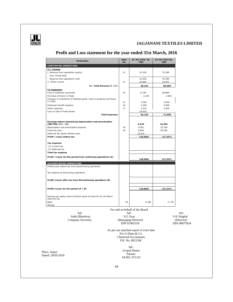

### **Profit and Loss statement for the year ended 31st March, 2016**

| Particulars                                                                         | Note<br><b>No</b> | 31/03/2016 Rs.<br>'000                                                                       | 31/03/2015 Rs.<br>'OOO |              |
|-------------------------------------------------------------------------------------|-------------------|----------------------------------------------------------------------------------------------|------------------------|--------------|
| CONTINUING OPERATIONS                                                               |                   |                                                                                              |                        |              |
| III. Income<br>I. Revenue from operations (gross)<br>Less: Excise duty              | 12                | 23,320                                                                                       | 75,349                 |              |
| Revenue from operations (net)<br>II. Other Income                                   | 13                | 23,320<br>24,842                                                                             | 75,349<br>12,651       |              |
| III. Total Revenue (I +II)                                                          |                   | 48,162                                                                                       | 88,000                 |              |
| IV. Expenses:                                                                       |                   |                                                                                              |                        |              |
| Cost of materials consumed                                                          | 14                | 17,787                                                                                       | 56,898                 |              |
| Purchase of Stock-in-Trade                                                          |                   | 2,136                                                                                        | 2,903                  |              |
| Changes in inventories of finished goods, work-in-progress and Stock-               |                   |                                                                                              |                        |              |
| in-Trade                                                                            | 15                | 1,003                                                                                        | 3,829                  |              |
| Employee benefit expense                                                            | 16                | 2,283                                                                                        | 3,949                  |              |
| Other expenses                                                                      | 17                | 2,515                                                                                        | 3,929                  |              |
| Loss on sale of Fixed Assets                                                        |                   | 18,419                                                                                       |                        |              |
| <b>Total Expenses</b>                                                               |                   | 44,143                                                                                       | 71,508                 |              |
| Earnings before interest, tax, depreciation and amortization<br>(EBITDA) (III - IV) |                   | 4,019                                                                                        | 16,492                 |              |
| Depreciation and amortization expense                                               | 18                | 4,591                                                                                        | 23,709                 |              |
| Financial costs                                                                     | 19                | 5,840                                                                                        | 20,040                 |              |
| Deferred Tax Assets Written back                                                    |                   | 22,572                                                                                       |                        |              |
| Profit /(Loss) before tax                                                           |                   | (28, 984)                                                                                    | (27, 257)              |              |
| Tax expense:<br>(1) Current tax                                                     |                   |                                                                                              |                        |              |
| (2) Deferred tax                                                                    |                   |                                                                                              |                        |              |
| Total tax expense                                                                   |                   |                                                                                              |                        |              |
| Profit /(Loss) for the period from continuing operations (A)                        |                   | (28, 984)                                                                                    | (27.257)               |              |
|                                                                                     |                   |                                                                                              |                        |              |
| DI SCONTI NUI NG OPERATIONS                                                         |                   |                                                                                              |                        |              |
| Profit/(Loss) before tax from discontinuing operations                              |                   |                                                                                              |                        |              |
| Tax expense of discounting operations                                               |                   |                                                                                              |                        |              |
| Profit/(Loss) after tax from Discontinuing operations (B)                           |                   |                                                                                              |                        |              |
| Profit/(Loss) for the period $(A + B)$                                              |                   | (28, 984)                                                                                    | (27, 257)              |              |
| Earning per equity share [nominal value of share Rs.10 (31 March<br>2013: Rs. 10]   |                   |                                                                                              |                        |              |
| Basic<br>Diluted                                                                    | 20                | (1.86)                                                                                       | (1.75)                 |              |
|                                                                                     |                   | For and on behalf of the Board                                                               |                        |              |
| $Sd$ /-                                                                             |                   | $Sd$ /-                                                                                      |                        | Sd           |
| Ankit Bhardwaj                                                                      |                   | S.G. Vyas                                                                                    |                        | S K Singhal  |
| Company Secretary                                                                   |                   | (Managing Director)                                                                          |                        | (Director)   |
|                                                                                     |                   | DIN 01905310                                                                                 |                        | DIN 00075934 |
|                                                                                     |                   |                                                                                              |                        |              |
|                                                                                     |                   | As per our attached report of even date<br>For G.Dutta & Co.<br><b>Chartered Accountants</b> |                        |              |
|                                                                                     |                   | F.R. No. 002136C                                                                             |                        |              |
|                                                                                     |                   | Sd/-                                                                                         |                        |              |
| Place: Jaipur                                                                       |                   | (Gopal Dutta)                                                                                |                        |              |
| Dated: 28/05/2016                                                                   |                   | Partner                                                                                      |                        |              |
|                                                                                     |                   | M.NO. 071312                                                                                 |                        |              |
|                                                                                     |                   |                                                                                              |                        |              |
|                                                                                     |                   |                                                                                              |                        |              |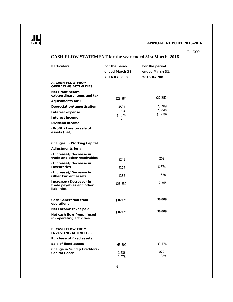

Rs. '000

### **CASH FLOW STATEMENT for the year ended 31st March, 2016**

| Particulars                                                       | For the period  | For the period     |
|-------------------------------------------------------------------|-----------------|--------------------|
|                                                                   | ended March 31, | ended March 31,    |
|                                                                   | 2016 Rs. '000   | 2015 Rs. '000      |
| A. CASH FLOW FROM<br>OPERATING ACTIVITIES                         |                 |                    |
| Net Profit before<br>extraordinary items and tax                  |                 | (27, 257)          |
| Adjustments for:                                                  | (28, 984)       |                    |
| Depreciation/amortisation                                         | 4591            | 23,709             |
| Interest expense                                                  | 5754            | 20,040<br>(1, 229) |
| Interest income                                                   | (1,076)         |                    |
| Dividend income                                                   |                 |                    |
| (Profit)/Loss on sale of<br>assets (net)                          |                 |                    |
| Changes in Working Capital                                        |                 |                    |
| Adjustments for:                                                  |                 |                    |
| (Increase)/Decrease in<br>trade and other receivables             | 9241            | 209                |
| (Increase)/Decrease in<br>Inventories                             | 2376            | 6,534              |
| (Increase)/Decrease in<br>Other Current assets                    | 1382            | 1,638              |
| Increase/(Decrease) in<br>trade payables and other<br>liabilities | (28, 259)       | 12,365             |
| Cash Generation from<br>operations                                | (34, 975)       | 36,009             |
| Net Income taxes paid                                             | (34, 975)       | 36,009             |
| Net cash flow from/ (used<br>in) operating activities             |                 |                    |
| <b>B. CASH FLOW FROM</b><br><b>INVESTING ACTIVITIES</b>           |                 |                    |
| Purchase of fixed assets                                          |                 |                    |
| Sale of fixed assets                                              | 63,800          | 39,576             |
| Change in Sundry Creditors-<br>Capital Goods                      | 1,536<br>1,076  | 827<br>1,229       |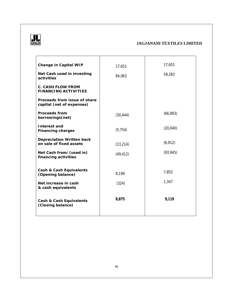

| Change in Capital WIP<br>Net Cash used in investing<br>activities | 17,651<br>84,063 | 17,651<br>59,283 |
|-------------------------------------------------------------------|------------------|------------------|
| C. CASH FLOW FROM<br>FINANCING ACTIVITIES                         |                  |                  |
| Proceeds from issue of share<br>capital (net of expenses)         |                  |                  |
| Proceeds from<br>borrowings(net)                                  | (30, 444)        | (66, 993)        |
| Interest and<br>Financing charges                                 | (5, 754)         | (20, 040)        |
| Depreciation Written back<br>on sale of fixed assets              | (13, 214)        | (6, 912)         |
| Net Cash from/(used in)<br>financing activities                   | (49, 412)        | (93, 945)        |
| Cash & Cash Equivalents<br>(Opening balance)                      | 9,199            | 7,852            |
| Net increase in cash<br>& cash equivalents                        | (324)            | 1,347            |
| Cash & Cash Equivalents<br>(Closing balance)                      | 8,875            | 9,119            |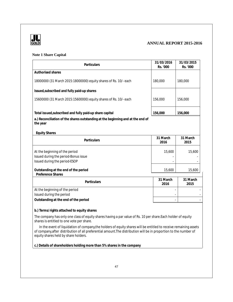

### **Note 1 Share Capital**

| Particulars                                                                                             | 31/03/2016<br>Rs. '000 | 31/03/2015<br>Rs. '000 |
|---------------------------------------------------------------------------------------------------------|------------------------|------------------------|
| Authorised shares                                                                                       |                        |                        |
| 18000000 (31 March 2015:18000000) equity shares of Rs. 10/- each                                        | 180,000                | 180,000                |
| Issued, subscribed and fully paid-up shares                                                             |                        |                        |
| 15600000 (31 March 2015:15600000) equity shares of Rs. 10/- each                                        | 156,000                | 156,000                |
| Total issued, subscribed and fully paid-up share capital                                                | 156,000                | 156,000                |
| a.) Reconciliation of the shares outstanding at the beginning and at the end of<br>the year             |                        |                        |
| <b>Equity Shares</b>                                                                                    |                        |                        |
| Particulars                                                                                             | 31 March<br>2016       | 31 March<br>2015       |
| At the beginning of the period<br>Issued during the period-Bonus issue<br>Issued during the period-ESOP | 15,600                 | 15,600                 |
| Outstanding at the end of the period<br>Preference Shares                                               | 15,600                 | 15,600                 |
| Particulars                                                                                             | 31 March<br>2016       | 31 March<br>2015       |
| At the beginning of the period<br>Issued during the period                                              |                        |                        |
| Outstanding at the end of the period                                                                    |                        |                        |
| b.) Terms/rights attached to equity shares                                                              |                        |                        |

The company has only one class of equity shares having a par value of Rs. 10 per share.Each holder of equity shares is entitled to one vote per share.

In the event of liquidation of company, the holders of equity shares will be entitled to receive remaining assets of company,after distribution of all preferential amount.The distribution will be in proportion to the number of equity shares held by share holders.

**c.) Details of shareholders holding more than 5% shares in the company**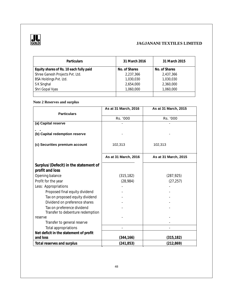

| <b>Particulars</b>                      | 31 March 2016 | 31 March 2015 |
|-----------------------------------------|---------------|---------------|
| Equity shares of Rs. 10 each fully paid | No. of Shares | No. of Shares |
| Shree Ganesh Projects Pvt. Ltd.         | 2,237,366     | 2,437,366     |
| BSA Holdings Pvt. Ltd.                  | 1,030,030     | 1,030,030     |
| S K Singhal                             | 2,654,000     | 2,360,000     |
| Shri Gopal Vyas                         | 1,060,000     | 1,060,000     |
|                                         |               |               |

### **Note 2 Reserves and surplus**

|                                        | As at 31 March, 2016 | As at 31 March, 2015 |
|----------------------------------------|----------------------|----------------------|
| <b>Particulars</b>                     |                      |                      |
|                                        | Rs. '000             | Rs. '000             |
| (a) Capital reserve                    |                      |                      |
|                                        |                      |                      |
| (b) Capital redemption reserve         |                      |                      |
|                                        |                      |                      |
| (c) Securities premium account         | 102,313              | 102,313              |
|                                        |                      |                      |
|                                        | As at 31 March, 2016 | As at 31 March, 2015 |
| Surplus/(Defecit) in the statement of  |                      |                      |
| profit and loss                        |                      |                      |
| Opening balance                        | (315, 182)           | (287, 925)           |
| Profit for the year                    | (28, 984)            | (27, 257)            |
| Less: Appropriations                   |                      |                      |
| Proposed final equity dividend         |                      |                      |
| Tax on proposed equity dividend        |                      |                      |
| Dividend on preference shares          |                      |                      |
| Tax on preference dividend             |                      |                      |
| Transfer to debenture redemption       |                      |                      |
| reserve                                |                      |                      |
| Transfer to general reserve            |                      |                      |
| Total appropriations                   |                      |                      |
| Net deficit in the statement of profit |                      |                      |
| and loss                               | (344, 166)           | (315,182)            |
| Total reserves and surplus             | (241, 853)           | (212, 869)           |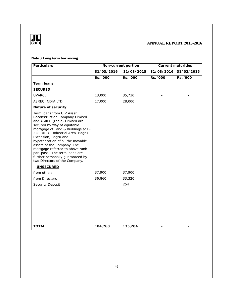

### **Note 3 Long term borrowing**

| Particulars                                                                                                                                                                                                                                                                                                                                                                                                                                                   | Non-current portion |            |            | Current maturities |
|---------------------------------------------------------------------------------------------------------------------------------------------------------------------------------------------------------------------------------------------------------------------------------------------------------------------------------------------------------------------------------------------------------------------------------------------------------------|---------------------|------------|------------|--------------------|
|                                                                                                                                                                                                                                                                                                                                                                                                                                                               | 31/03/2016          | 31/03/2015 | 31/03/2016 | 31/03/2015         |
|                                                                                                                                                                                                                                                                                                                                                                                                                                                               | Rs. '000            | Rs. '000   | Rs. '000   | Rs. '000           |
| Term Ioans                                                                                                                                                                                                                                                                                                                                                                                                                                                    |                     |            |            |                    |
| <b>SECURED</b>                                                                                                                                                                                                                                                                                                                                                                                                                                                |                     |            |            |                    |
| <b>UVARCL</b>                                                                                                                                                                                                                                                                                                                                                                                                                                                 | 13,000              | 35,730     |            |                    |
| ASREC INDIA LTD.                                                                                                                                                                                                                                                                                                                                                                                                                                              | 17,000              | 28,000     |            |                    |
| Nature of security:                                                                                                                                                                                                                                                                                                                                                                                                                                           |                     |            |            |                    |
| Term loans from U V Asset<br>Reconstruction Company Limited<br>and ASREC (India) Limited are<br>secured by way of equitable<br>mortgage of Land & Buildings at E-<br>228 RIICO Industrial Area, Bagru<br>Extension, Bagru and<br>hypothecation of all the movable<br>assets of the Company. The<br>mortgage referred to above rank<br>pari-passu. The term loans are<br>further personally guaranteed by<br>two Directors of the Company.<br><b>UNSECURED</b> |                     |            |            |                    |
| from others                                                                                                                                                                                                                                                                                                                                                                                                                                                   | 37,900              | 37,900     |            |                    |
| from Directors                                                                                                                                                                                                                                                                                                                                                                                                                                                | 36,860              | 33,320     |            |                    |
| Security Deposit                                                                                                                                                                                                                                                                                                                                                                                                                                              |                     | 254        |            |                    |
|                                                                                                                                                                                                                                                                                                                                                                                                                                                               |                     |            |            |                    |
| <b>TOTAL</b>                                                                                                                                                                                                                                                                                                                                                                                                                                                  | 104,760             | 135,204    |            |                    |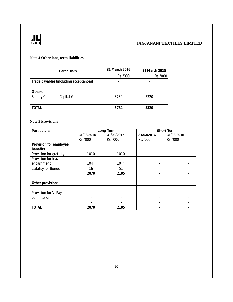

### **Note 4 Other long-term liabilities**

| <b>Particulars</b>                        | 31 March 2016<br>Rs. '000 | 31 March 2015<br>Rs. '000 |
|-------------------------------------------|---------------------------|---------------------------|
| Trade payables (including acceptances)    |                           |                           |
| Others<br>Sundry Creditors- Capital Goods | 3784                      | 5320                      |
|                                           |                           |                           |
| OTAL                                      | 3784                      | 5320                      |

### **Note 5 Provisions**

| <b>Particulars</b>     |            | Long-Term  |                          | <b>Short-Term</b> |  |  |
|------------------------|------------|------------|--------------------------|-------------------|--|--|
|                        | 31/03/2016 | 31/03/2015 | 31/03/2016               | 31/03/2015        |  |  |
|                        | Rs. '000   | Rs. '000   | Rs. '000                 | Rs. '000          |  |  |
| Provision for employee |            |            |                          |                   |  |  |
| benefits               |            |            |                          |                   |  |  |
| Provision for gratuity | 1010       | 1010       |                          |                   |  |  |
| Provision for leave    |            |            |                          |                   |  |  |
| encashment             | 1044       | 1044       |                          |                   |  |  |
| Liability for Bonus    | 16         | 51         |                          |                   |  |  |
|                        | 2070       | 2105       |                          |                   |  |  |
|                        |            |            |                          |                   |  |  |
| Other provisions       |            |            |                          |                   |  |  |
|                        |            |            |                          |                   |  |  |
| Provision for VI Pay   |            |            |                          |                   |  |  |
| commission             |            |            | $\overline{\phantom{a}}$ |                   |  |  |
|                        |            |            |                          |                   |  |  |
| <b>TOTAL</b>           | 2070       | 2105       |                          |                   |  |  |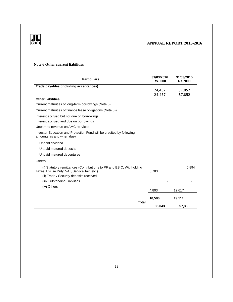



### **Note 6 Other current liabilities**

| <b>Particulars</b>                                                                                                  | 31/03/2016<br><b>Rs. '000</b> | 31/03/2015<br><b>Rs. '000</b> |
|---------------------------------------------------------------------------------------------------------------------|-------------------------------|-------------------------------|
| Trade payables (including acceptances)                                                                              |                               |                               |
|                                                                                                                     | 24,457                        | 37,852                        |
| <b>Other liabilities</b>                                                                                            | 24,457                        | 37,852                        |
| Current maturities of long-term borrowings (Note 5)                                                                 |                               |                               |
| Current maturities of finance lease obligations (Note 5))                                                           |                               |                               |
| Interest accrued but not due on borrowings                                                                          |                               |                               |
| Interest accrued and due on borrowings                                                                              |                               |                               |
| Unearned revenue on AMC services                                                                                    |                               |                               |
| Investor Education and Protection Fund will be credited by following<br>amounts(as and when due)                    |                               |                               |
| Unpaid dividend                                                                                                     |                               |                               |
| Unpaid matured deposits                                                                                             |                               |                               |
| Unpaid matured debentures                                                                                           |                               |                               |
| Others                                                                                                              |                               |                               |
| (i) Statutory remittances (Contributions to PF and ESIC, Withholding<br>Taxes, Excise Duty, VAT, Service Tax, etc.) | 5,783                         | 6,894                         |
| (ii) Trade / Security deposits received                                                                             |                               |                               |
| (iii) Outstanding Liabilities                                                                                       |                               |                               |
| (iv) Others                                                                                                         |                               |                               |
|                                                                                                                     | 4,803                         | 12,617                        |
|                                                                                                                     | 10,586                        | 19,511                        |
| <b>Total</b>                                                                                                        | 35,043                        | 57,363                        |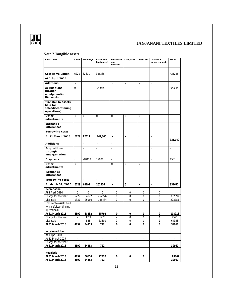

### **Note 7 Tangible assets**

| Particulars                                                         | Land                        | <b>Buildings</b>         | Plant and<br>Equipment   | Furniture<br>and<br>fixtures | Computer                 | Vehicles                 | Leasehold<br>improvements | Total                    |
|---------------------------------------------------------------------|-----------------------------|--------------------------|--------------------------|------------------------------|--------------------------|--------------------------|---------------------------|--------------------------|
|                                                                     |                             |                          |                          |                              |                          |                          |                           |                          |
| Cost or Valuation                                                   | 6229                        | 82611                    | 336385                   | ÷,                           | ÷,                       | $\sim$                   | ÷,                        | 425225                   |
| At 1 April 2014                                                     |                             |                          |                          |                              |                          |                          |                           |                          |
| Additions                                                           | ÷,                          |                          |                          | ÷,                           | $\overline{\phantom{a}}$ | $\overline{\phantom{a}}$ | $\overline{\phantom{a}}$  |                          |
| Acquisitions                                                        | $\overline{0}$              |                          | 94,085                   | ä,                           | L                        | ÷,                       | ÷,                        | 94,085                   |
| through<br>amalgamation<br>Disposals                                |                             |                          |                          |                              |                          |                          |                           |                          |
| Transfer to assets<br>held for<br>sale(discontinuing<br>operations) | $\mathcal{L}_{\mathcal{A}}$ | $\mathcal{L}$            | $\overline{\phantom{a}}$ | $\overline{\phantom{a}}$     | $\overline{\phantom{a}}$ | $\sim$                   | ÷,                        | $\mathbb{Z}^2$           |
| Other<br>adjustments                                                | $\Omega$                    | $\Omega$                 | 0                        | 0                            | $\Omega$                 | 0                        | 0                         |                          |
| Exchange<br>differences                                             | ÷,                          | ÷,                       | ÷,                       | ÷,                           | $\frac{1}{2}$            | ÷,                       | $\centerdot$              | $\overline{\phantom{a}}$ |
| Borrowing costs                                                     | $\Box$                      | ä,                       | ä,                       | ä,                           | ä,                       | L.                       | $\overline{\phantom{a}}$  | $\overline{\phantom{a}}$ |
| At 31 March 2015                                                    | 6229                        | 82611                    | 242,300                  | ÷,                           | ÷,                       | ÷,                       | $\overline{\phantom{a}}$  | 331,140                  |
| Additions                                                           | L.                          | i,                       | ÷,                       | L,                           | L                        | ÷,                       | ÷,                        | l,                       |
| Acquisitions<br>through<br>amalgamation                             | $\overline{\phantom{a}}$    | $\overline{\phantom{a}}$ | ÷,                       | i,                           | i,                       | $\overline{\phantom{a}}$ | $\overline{a}$            | $\overline{\phantom{a}}$ |
| Disposals                                                           | $\overline{\phantom{a}}$    | $-18419$                 | 19976                    | ÷,                           | $\blacksquare$           |                          | ÷,                        | 1557                     |
| Other<br>adjustments                                                | $\Omega$                    | ÷,                       | ÷,                       | 0                            | $\Omega$                 | $\Omega$                 | 0                         |                          |
| Exchange<br>differences                                             | $\overline{\phantom{a}}$    | $\overline{\phantom{a}}$ | ÷,                       | ÷,                           | $\frac{1}{2}$            | ÷,                       | $\centerdot$              | $\overline{\phantom{a}}$ |
| Borrowing costs                                                     | ä,                          | $\overline{\phantom{a}}$ | L.                       | $\overline{\phantom{a}}$     | $\overline{\phantom{a}}$ | ä,                       | $\overline{\phantom{a}}$  | ä,                       |
| At March 31, 2016                                                   | 6229                        | 64192                    | 262276                   | $\overline{\phantom{a}}$     | 0                        | ÷,                       | $\overline{\phantom{a}}$  | 332697                   |
| Depreciation                                                        |                             |                          |                          |                              |                          |                          |                           |                          |
| At 1 April 2014                                                     | $\mathbf 0$                 | 0                        | $\mathbf 0$              | 0                            | $\boldsymbol{0}$         | 0                        | $\mathbf 0$               |                          |
| Charge for the year                                                 | 6229                        | 64192                    | 262276                   | $\overline{0}$               | $\boldsymbol{0}$         | $\mathbf 0$              | $\overline{0}$            | 332697                   |
| <b>Disposals</b>                                                    | 1337                        | 25960                    | 196484                   | 0                            | 0                        | 0                        | 0                         | 223781                   |
| Transfer to assets held<br>for sale(discontinuing<br>operations)    |                             |                          |                          |                              |                          |                          |                           |                          |
| At 31 March 2015                                                    | 4892                        | 38232                    | 65792                    | 0                            | 0                        | 0                        | 0                         | 108916                   |
| Charge for the year                                                 | ÷                           | 3321                     | 1270                     | $\sim$                       | 0                        | 0                        | 0                         | 4591                     |
| <b>Disposals</b>                                                    | ä,                          | 558                      | 63800                    | 0                            | 0                        | 0                        | 0                         | 64358                    |
| At 31 March 2016                                                    | 4892                        | 34353                    | 722                      | 0                            | $\Omega$                 | 0                        | 0                         | 39967                    |
| Impairment loss                                                     |                             |                          |                          |                              |                          |                          |                           |                          |
| At 1 April 2014                                                     | ÷,                          |                          |                          | ÷.                           | ÷,                       | ÷,                       |                           |                          |
| At 31 March 2015                                                    | ÷,                          | $\overline{\phantom{a}}$ | ÷                        | $\overline{\phantom{a}}$     | $\overline{\phantom{a}}$ | $\overline{\phantom{a}}$ | ÷                         | $\Box$                   |
| Charge for the year                                                 | ÷                           |                          | ä,                       |                              | ÷                        | ÷,                       | $\overline{\phantom{a}}$  |                          |
| At 31 March 2016                                                    | 4892                        | 34353                    | 722                      | ٠                            | ÷                        | ÷,                       | $\overline{\phantom{a}}$  | 39967                    |
| <b>Net Block</b>                                                    |                             |                          |                          |                              |                          |                          |                           |                          |
| At 31 March 2015                                                    | 4892                        | 56650                    | 22320                    | 0                            | 0                        | 0                        |                           | 83862                    |
| At 31 March 2016                                                    | 4892                        | 34353                    | 722                      | ä,                           | ä,                       | ÷.                       | ä,                        | 39967                    |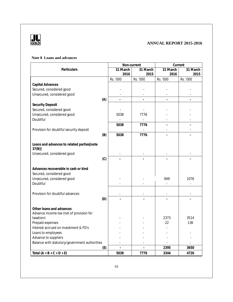

### **Note 8 Loans and advances**

|                                                        |     | Non-current    |                |                | Current  |
|--------------------------------------------------------|-----|----------------|----------------|----------------|----------|
| Particulars                                            |     | 31 March       | 31 March       | 31 March       | 31 March |
|                                                        |     | 2016           | 2015           | 2016           | 2015     |
|                                                        |     | Rs. '000       | Rs. '000       | Rs. '000       | Rs. '000 |
| Capital Advances                                       |     |                |                |                |          |
| Secured, considered good                               |     |                |                |                |          |
| Unsecured, considered good                             |     |                |                |                |          |
|                                                        | (A) | $\overline{a}$ |                | $\overline{a}$ |          |
| <b>Security Deposit</b>                                |     |                |                |                |          |
| Secured, considered good<br>Unsecured, considered good |     |                | 7776           |                |          |
| Doubtful                                               |     | 5038           |                |                |          |
|                                                        |     | 5038           | 7776           |                |          |
| Provision for doubtful security deposit                |     |                |                |                |          |
|                                                        | (B) | 5038           | 7776           |                |          |
|                                                        |     |                |                |                |          |
| Loans and advances to related parties[note             |     |                |                |                |          |
| $37(B)$ ]                                              |     |                |                |                |          |
| Unsecured, considered good                             |     |                |                |                |          |
|                                                        | (C) |                |                |                |          |
|                                                        |     |                |                |                |          |
| Advances recoverable in cash or kind                   |     |                |                |                |          |
| Secured, considered good                               |     |                |                |                |          |
| Unsecured, considered good                             |     |                |                | 949            | 1076     |
| Doubtful                                               |     |                |                |                |          |
|                                                        |     |                |                |                |          |
| Provision for doubtful advances                        |     |                |                |                |          |
|                                                        | (D) |                |                |                |          |
| Other loans and advances                               |     |                |                |                |          |
| Advance income-tax (net of provision for               |     |                |                |                |          |
| taxation)                                              |     |                |                | 2373           | 3514     |
| Prepaid expenses                                       |     |                |                | 22             | 136      |
| Interest accrued on investment & FD's                  |     |                |                |                |          |
| Loans to employees                                     |     |                |                |                |          |
| Advance to suppliers                                   |     |                |                |                |          |
| Balance with statutory/government authorities          |     |                |                |                |          |
|                                                        | (E) | $\overline{a}$ | $\overline{a}$ | 2395           | 3650     |
| Total $(A + B + C + D + E)$                            |     | 5038           | 7776           | 3344           | 4726     |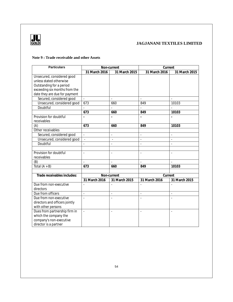

### **Note 9 : Trade receivable and other Assets**

| <b>Particulars</b>             | Non-current    |                | Current                  |                          |
|--------------------------------|----------------|----------------|--------------------------|--------------------------|
|                                | 31 March 2016  | 31 March 2015  | 31 March 2016            | 31 March 2015            |
| Unsecured, considered good     |                |                |                          |                          |
| unless stated otherwise        |                |                |                          |                          |
| Outstanding for a period       |                |                |                          |                          |
| exceeding six months from the  |                |                |                          |                          |
| date they are due for payment  |                |                |                          |                          |
| Secured, considered good       |                |                |                          |                          |
| Unsecured, considered good     | 673            | 660            | 849                      | 10103                    |
| Doubtful                       |                |                |                          |                          |
|                                | 673            | 660            | 849                      | 10103                    |
| Provision for doubtful         |                |                |                          |                          |
| receivables                    |                |                |                          |                          |
| (A)                            | 673            | 660            | 849                      | 10103                    |
| Other receivables              |                |                |                          |                          |
| Secured, considered good       | $\omega$       | $\blacksquare$ | $\overline{a}$           | $\sim$                   |
| Unsecured, considered good     | $\sim$         | $\overline{a}$ | $\overline{\phantom{a}}$ | $\overline{\phantom{a}}$ |
| Doubtful                       |                | $\mathbf{r}$   | $\overline{a}$           | $\overline{\phantom{a}}$ |
|                                |                |                |                          |                          |
| Provision for doubtful         |                |                |                          | ÷,                       |
| receivables                    |                |                |                          |                          |
| (B)                            |                |                |                          |                          |
| Total $(A + B)$                | 673            | 660            | 849                      | 10103                    |
|                                |                |                |                          |                          |
| Trade receivables includes:    |                | Non-current    | Current                  |                          |
|                                | 31 March 2016  | 31 March 2015  | 31 March 2016            | 31 March 2015            |
| Due from non-executive         |                |                |                          |                          |
| directors                      |                |                |                          |                          |
| Due from officers              | $\blacksquare$ | $\blacksquare$ | $\overline{\phantom{a}}$ | $\omega$                 |
| Due from non-executive         | $\overline{a}$ | ÷,             | L,                       | $\bar{\phantom{a}}$      |
| directors and officers jointly |                |                |                          |                          |
| with other persons             |                |                |                          |                          |
| Dues from partnership firm in  | $\overline{a}$ | $\sim$         | $\overline{\phantom{a}}$ | $\sim$                   |
| which the company the          |                |                |                          |                          |
| company's non-executive        |                |                |                          |                          |
| director is a partner          |                |                |                          |                          |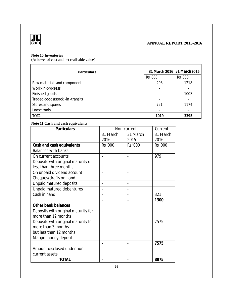

### **Note 10 Inventories**

(At lower of cost and net realisable value)

| <b>Particulars</b>               | 31 March 2016 31 March 2015 |         |  |
|----------------------------------|-----------------------------|---------|--|
|                                  | Rs '000                     | Rs '000 |  |
| Raw materials and components     | 298                         | 1218    |  |
| Work-in-progress                 | -                           |         |  |
| Finished goods                   |                             | 1003    |  |
| Traded goods(stock -in -transit) | $\overline{\phantom{a}}$    |         |  |
| Stores and spares                | 721                         | 1174    |  |
| Loose tools                      |                             |         |  |
| <b>TOTAL</b>                     | 1019                        | 3395    |  |

### **Note 11 Cash and cash equivalents**

| Particulars                         | Non-current    |                | Current  |
|-------------------------------------|----------------|----------------|----------|
|                                     | 31 March       | 31 March       | 31 March |
|                                     | 2016           | 2015           | 2016     |
| Cash and cash equivalents           | Rs '000        | <b>Rs '000</b> | Rs '000  |
| <b>Balances with banks:</b>         |                |                |          |
| On current accounts                 |                |                | 979      |
| Deposits with original maturity of  |                |                |          |
| less than three months              |                |                |          |
| On unpaid dividend account          |                |                |          |
| Cheques/drafts on hand              |                |                |          |
| Unpaid matured deposits             |                |                |          |
| Unpaid matured debentures           |                |                |          |
| Cash in hand                        |                |                | 321      |
|                                     |                |                | 1300     |
| Other bank balances                 |                |                |          |
| Deposits with original maturity for |                |                |          |
| more than 12 months                 |                |                |          |
| Deposits with original maturity for |                |                | 7575     |
| more than 3 months                  |                |                |          |
| but less than 12 months             |                |                |          |
| Margin money deposit                | $\blacksquare$ |                |          |
|                                     |                |                | 7575     |
| Amount disclosed under non-         |                |                |          |
| current assets                      |                |                |          |
| <b>TOTAL</b>                        |                |                | 8875     |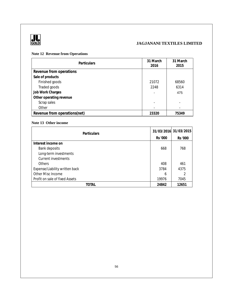

### **Note 12 Revenue from Operations**

| <b>Particulars</b>           | 31 March<br>2016         | 31 March<br>2015 |
|------------------------------|--------------------------|------------------|
| Revenue from operations      |                          |                  |
| Sale of products             |                          |                  |
| Finished goods               | 21072                    | 68560            |
| Traded goods                 | 2248                     | 6314             |
| Job Work Charges             | ٠                        | 475              |
| Other operating revenue      |                          |                  |
| Scrap sales                  | $\overline{\phantom{a}}$ |                  |
| Other                        |                          |                  |
| Revenue from operations(net) | 23320                    | 75349            |

### **Note 13 Other income**

| <b>Particulars</b>             |         | 31/03/2016 31/03/2015 |
|--------------------------------|---------|-----------------------|
|                                | Rs '000 | Rs '000               |
| Interest income on             |         |                       |
| Bank deposits                  | 668     | 768                   |
| Long-term investments          |         |                       |
| Current investments            |         |                       |
| <b>Others</b>                  | 408     | 461                   |
| Expense/Liability written back | 3784    | 4375                  |
| Other Misc Income              | 6       |                       |
| Profit on sale of fixed Assets | 19976   | 7045                  |
| TOTAL                          | 24842   | 12651                 |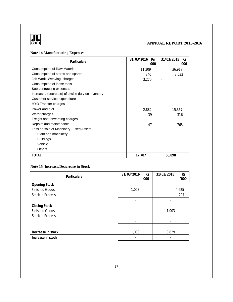

## **GOLD ANNUAL REPORT 2015-2016**

### **Note 14 Manufacturing Expenses**

| <b>Particulars</b>                                | 31/03/2016<br><b>Rs</b> | 31/03/2015<br><b>Rs</b> |  |
|---------------------------------------------------|-------------------------|-------------------------|--|
|                                                   | '000                    | '000                    |  |
| <b>Consumption of Raw Material</b>                | 11,209                  | 36,917                  |  |
| Consumption of stores and spares                  | 340                     | 3,533                   |  |
| Job Work- Weaving charges                         | 3,270                   |                         |  |
| Consumption of loose tools                        |                         |                         |  |
| Sub-contracting expenses                          |                         |                         |  |
| Increase / (decrease) of excise duty on inventory |                         |                         |  |
| Customer service expenditure                      |                         |                         |  |
| <b>HYO</b> Transfer charges                       |                         |                         |  |
| Power and fuel                                    | 2,882                   | 15,367                  |  |
| Water charges                                     | 39                      | 316                     |  |
| Freight and forwarding charges                    |                         |                         |  |
| Repairs and maintenance                           | 47                      | 765                     |  |
| Loss on sale of Machinery - Fixed Assets          |                         |                         |  |
| Plant and machinery                               |                         |                         |  |
| <b>Buildings</b>                                  |                         |                         |  |
| Vehicle                                           |                         |                         |  |
| <b>Others</b>                                     |                         |                         |  |
| <b>TOTAL</b>                                      | 17,787                  | 56,898                  |  |

### **Note 15 Increase/Deacrease in Stock**

| <b>Particulars</b>      | 31/03/2016<br><b>Rs</b><br>'000 | 31/03/2015<br><b>Rs</b><br>'000 |
|-------------------------|---------------------------------|---------------------------------|
| <b>Opening Stock</b>    |                                 |                                 |
| <b>Finished Goods</b>   | 1,003                           | 4,625                           |
| <b>Stock in Process</b> |                                 | 207                             |
|                         |                                 |                                 |
| Closing Stock           |                                 |                                 |
| <b>Finished Goods</b>   |                                 | 1,003                           |
| <b>Stock in Process</b> |                                 |                                 |
|                         |                                 |                                 |
|                         |                                 |                                 |
| Decrease in stock       | 1,003                           | 3,829                           |
| Increase in stock       |                                 |                                 |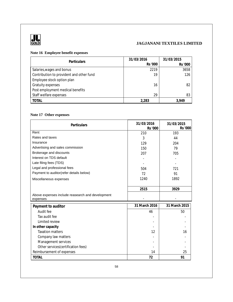

### **Note 16 Employee benefit expenses**

| <b>Particulars</b>                       | 31/03/2016 | 31/03/2015 |  |
|------------------------------------------|------------|------------|--|
|                                          | Rs '000    | Rs '000    |  |
| Salaries, wages and bonus                | 2219       | 3658       |  |
| Contribution to provident and other fund | 19         | 126        |  |
| Employee stock option plan               |            |            |  |
| Gratuity expenses                        | 16         | 82         |  |
| Post employment medical benefits         |            |            |  |
| Staff welfare expenses                   | 29         | 83         |  |
| <b>TOTAL</b>                             | 2,283      | 3.949      |  |

### **Note 17 Other expenses**

| Particulars                                                  | 31/03/2016<br>Rs '000 | 31/03/2015<br>Rs '000 |  |
|--------------------------------------------------------------|-----------------------|-----------------------|--|
| Rent                                                         | 210                   | 193                   |  |
| Rates and taxes                                              | 3                     | 44                    |  |
| Insurance                                                    | 129                   | 204                   |  |
| Advertising and sales commission                             | 150                   | 79                    |  |
| Brokerage and discounts                                      | 207                   | 705                   |  |
| Interest on TDS default                                      |                       |                       |  |
| Late filing fees (TDS)                                       |                       |                       |  |
| Legal and professional fees                                  | 504                   | 721                   |  |
| Payment to auditor(refer details below)                      | 72                    | 91                    |  |
| Miscellaneous expenses                                       | 1240                  | 1892                  |  |
|                                                              |                       |                       |  |
|                                                              | 2515                  | 3929                  |  |
| Above expenses include reasearch and development<br>expenses |                       |                       |  |
| Payment to auditor                                           | 31 March 2016         | 31 March 2015         |  |
| Audit fee                                                    | 46                    | 50                    |  |
| Tax audit fee                                                |                       |                       |  |
| Limited review                                               |                       |                       |  |
| In other capacity                                            |                       |                       |  |
| <b>Taxation matters</b>                                      | 12                    | 16                    |  |
| Company law matters                                          |                       |                       |  |
| Management services                                          |                       |                       |  |
| Other services (certification fees)                          |                       |                       |  |
| Reimbursement of expenses                                    | 14                    | 25                    |  |
| <b>TOTAL</b>                                                 | 72                    | 91                    |  |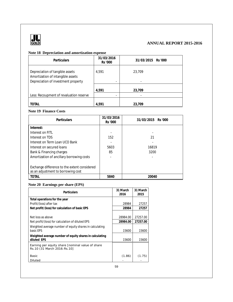

## **GOLD ANNUAL REPORT 2015-2016**

### **Note 18 Depreciation and amortization expense**

| <b>Particulars</b>                                                                                          | 31/03/2016<br>Rs '000 | 31/03/2015 Rs '000 |
|-------------------------------------------------------------------------------------------------------------|-----------------------|--------------------|
| Depreciation of tangible assets<br>Amortization of intangible assets<br>Depreciation of investment property | 4.591<br>-            | 23.709             |
|                                                                                                             | 4,591                 | 23,709             |
| Less: Recoupment of revaluation reserve                                                                     |                       |                    |
| TOTAL                                                                                                       | 4.591                 | 23.709             |

### **Note 19 Finance Costs**

| <b>Particulars</b>                           | 31/03/2016<br>Rs '000 | 31/03/2015 Rs '000 |
|----------------------------------------------|-----------------------|--------------------|
| Interest:                                    |                       |                    |
| Interest on FITL                             |                       |                    |
| Interest on TDS                              | 152                   | 21                 |
| Interest on Term Loan UCO Bank               |                       |                    |
| Interest on secured loans                    | 5603                  | 16819              |
| Bank & Financing charges                     | 85                    | 3200               |
| Amortization of ancillary borrowing costs    |                       |                    |
|                                              |                       |                    |
| Exchange difference to the extent considered |                       |                    |
| as an adjustment to borrowing cost           |                       |                    |
| <b>TOTAL</b>                                 | 5840                  | 20040              |

### **Note 20 Earnings per share (EPS)**

| <b>Particulars</b>                                                               | 31 March<br>2016 | 31 March<br>2015 |
|----------------------------------------------------------------------------------|------------------|------------------|
| Total operations for the year                                                    |                  |                  |
| Profit/(loss) after tax                                                          | 28984            | 27257            |
| Net profit/(loss) for calculation of basic EPS                                   | 28984            | 27257            |
|                                                                                  |                  |                  |
| Net loss as above                                                                | 28984.00         | 27257.00         |
| Net profit/(loss) for calculation of diluted EPS                                 | 28984.00         | 27257.00         |
| Weighted average number of equity shares in calculating                          |                  |                  |
| basic EPS                                                                        | 15600            | 15600            |
| Weighted average number of equity shares in calculating                          |                  |                  |
| diluted EPS                                                                      | 15600            | 15600            |
| Earning per equity share [nominal value of share<br>Rs.10 (31 March 2016: Rs.10] |                  |                  |
| <b>Basic</b>                                                                     | (1.86)           | (1.75)           |
| Diluted                                                                          |                  |                  |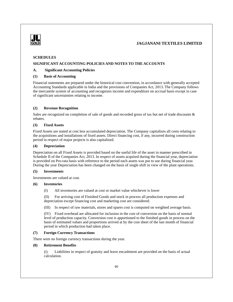

### **SCHEDULES**

### **SIGNIFICANT ACCOUNTING POLICIES AND NOTES TO THE ACCOUNTS**

#### **A. Significant Accounting Policies**

#### **(1) Basis of Accounting**

Financial statements are prepared under the historical cost convention, in accordance with generally accepted Accounting Standards applicable in India and the provisions of Companies Act, 2013. The Company follows the mercantile system of accounting and recognizes income and expenditure on accrual basis except in case of significant uncertainties relating to income.

### **(2) Revenue Recognition**

Sales are recognized on completion of sale of goods and recorded gross of tax but net of trade discounts & rebates.

#### **(3) Fixed Assets**

Fixed Assets are stated at cost less accumulated depreciation. The Company capitalizes all costs relating to the acquisitions and installations of fixed assets. Direct financing cost, if any, incurred during construction period in respect of major projects is also capitalized.

### **(4) Depreciation**

Depreciation on all Fixed Assets is provided based on the useful life of the asset in manner prescribed in Schedule II of the Companies Act, 2013. In respect of assets acquired during the financial year, depreciation is provided on Pro-rata basis with reference to the period each assets was put to use during financial year. During the year Depreciation has been changed on the basis of single shift in view of the plant operations.

#### **(5) Investments**

Investments are valued at cost.

### **(6) Inventories**

(I) All inventories are valued at cost or market value whichever is lower

(II) For arriving cost of Finished Goods and stock in process all production expenses and depreciation except financing cost and marketing cost are considered.

(III) In respect of raw materials, stores and spares cost is computed on weighted average basis.

(IV) Fixed overhead are allocated for inclusion in the cost of conversion on the basis of normal level of production capacity. Conversion cost is apportioned to the finished goods in process on the basis of estimated values and proportions arrived at by the cost sheet of the last month of financial period in which production had taken place.

### **(7) Foreign Currency Transactions**

There were no foreign currency transactions during the year.

### **(8) Retirement Benefits**

(i) Liabilities in respect of gratuity and leave encashment are provided on the basis of actual calculation.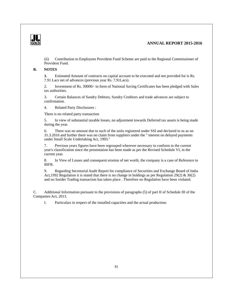

### **GOLD ANNUAL REPORT 2015-2016**

(ii) Contribution to Employees Provident Fund Scheme are paid to the Regional Commissioner of Provident Fund.

### **B. NOTES**

**1.** Estimated Amount of contracts on capital account to be executed and not provided for is Rs. 7.91 Lacs net of advances (previous year Rs. 7.91Lacs).

2. Investment of Rs. 39000/- in form of National Saving Certificates has been pledged with Sales tax authorities.

3. Certain Balances of Sundry Debtors, Sundry Creditors and trade advances are subject to confirmation.

4. Related Party Disclosures :

There is no related party transaction

5. In view of substantial taxable losses, no adjustment towards Deferred tax assets is being made during the year.

6. There was no amount due to such of the units registered under SSI and declared to us as on 31.3.2016 and further there was no claim from suppliers under the '' interest on delayed payments under Small Scale Undertaking Act, 1993.''

7. Previous years figures have been regrouped wherever necessary to conform to the current year's classification since the presentation has been made as per the Revised Schedule VI, in the current year.

8. In View of Losses and consequent erosion of net worth, the company is a case of Reference to BIFR.

9. Regarding Secretarial Audit Report for compliance of Securities and Exchange Board of India Act, 1992 Regulation it is stated that there is no change in holdings as per Regulation 29(2)  $\&$  30(2) and no Insider Trading transaction has taken place . Therefore no Regulation have been violated.

C. Additional Information pursuant to the provisions of paragraphs (5) of part II of Schedule III of the Companies Act, 2013.

I. Particulars in respect of the installed capacities and the actual production: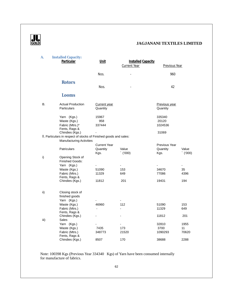

| A.   | <b>Installed Capacity:</b>                                        |                     |                           |               |                |
|------|-------------------------------------------------------------------|---------------------|---------------------------|---------------|----------------|
|      | Particular                                                        | Unit                | <b>Installed Capacity</b> |               |                |
|      |                                                                   |                     | Current Year              | Previous Year |                |
|      |                                                                   |                     |                           |               |                |
|      |                                                                   | Nos.                |                           | 960           |                |
|      |                                                                   |                     |                           |               |                |
|      | <b>Rotors</b>                                                     |                     |                           |               |                |
|      |                                                                   | Nos.                |                           | 42            |                |
|      |                                                                   |                     |                           |               |                |
|      | Looms                                                             |                     |                           |               |                |
|      |                                                                   |                     |                           |               |                |
| В.   | <b>Actual Production</b>                                          | <b>Current year</b> |                           | Previous year |                |
|      | <b>Particulars</b>                                                | Quantity            |                           | Quantity      |                |
|      |                                                                   |                     |                           |               |                |
|      | Yarn (Kgs.)                                                       | 15967               |                           | 335340        |                |
|      | Waste (Kgs.)                                                      | 958                 |                           | 20120         |                |
|      | Fabric (Mtrs.)*                                                   | 337444              |                           | 1024536       |                |
|      | Fents, Rags &                                                     |                     |                           |               |                |
|      | Chindies (Kgs.)                                                   |                     |                           | 31069         |                |
|      | II. Particulars in respect of stocks of Finished goods and sales: |                     |                           |               |                |
|      | <b>Manufacturing Activities</b>                                   |                     |                           |               |                |
|      |                                                                   | <b>Current Year</b> |                           | Previous Year |                |
|      | <b>Patriculars</b>                                                | Quantity            | Value                     | Quantity      | Value          |
|      |                                                                   | Kgs.                | $(000)^{2}$               | Kgs.          | $(000)^{2}$    |
| i)   | Opening Stock of                                                  |                     |                           |               |                |
|      | Finished Goods:                                                   |                     |                           |               |                |
|      | Yarn (Kgs.)                                                       | ÷                   | $\frac{1}{2}$             |               | $\blacksquare$ |
|      | Waste (Kgs.)                                                      | 51090               | 153                       | 34670         | 35             |
|      | Fabric (Mtrs.)                                                    | 11329               | 649                       | 77086         | 4396           |
|      | Fents, Rags &<br>Chindies (Kgs.)                                  | 11812               | 201                       | 19431         | 194            |
|      |                                                                   |                     |                           |               |                |
|      |                                                                   |                     |                           |               |                |
| ii)  | Closing stock of                                                  |                     |                           |               |                |
|      | finished goods                                                    |                     |                           |               |                |
|      | Yarn (Kgs.)                                                       |                     |                           |               |                |
|      | Waste (Kgs.)                                                      | 46960               | 112                       | 51090         | 153            |
|      | Fabric (Mtrs.)                                                    | $\blacksquare$      |                           | 11329         | 649            |
|      | Fents, Rags &                                                     |                     |                           |               |                |
|      | Chindies (Kgs.)                                                   |                     |                           | 11812         | 201            |
| iii) | Sales                                                             |                     |                           |               |                |
|      | Yarn (Kgs.)                                                       |                     |                           | 32810         | 1955           |
|      | Waste (Kgs.)                                                      | 7435                | 173                       | 3700          | 11             |
|      | Fabric (Mtrs.)                                                    | 348773              | 21520                     | 1090293       | 70620          |
|      | Fents, Rags &<br>Chindies (Kgs.)                                  | 8507                | 170                       | 38688         | 2288           |
|      |                                                                   |                     |                           |               |                |

 Note: 100398 Kgs (Previous Year 334340 Kgs) of Yarn have been consumed internally for manufacture of fabrics.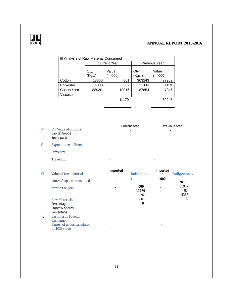

# **GOLD ANNUAL REPORT 2015-2016**

|                                                                                                                        | Qty.<br>(Kgs.) | Value<br>(000)                                                                                                     | Qty.<br>(Kgs.)                                               | Value<br>$($ '000)                                   |               |
|------------------------------------------------------------------------------------------------------------------------|----------------|--------------------------------------------------------------------------------------------------------------------|--------------------------------------------------------------|------------------------------------------------------|---------------|
| Cotton                                                                                                                 | 13860          | 801                                                                                                                | 363243                                                       | 27952                                                |               |
|                                                                                                                        | 4080           | 362                                                                                                                | 11334                                                        | 1119                                                 |               |
| Cotton Yarn                                                                                                            | 88930          | 10016                                                                                                              | 87854                                                        | 7846                                                 |               |
| Viscose                                                                                                                | $\blacksquare$ |                                                                                                                    |                                                              |                                                      |               |
|                                                                                                                        |                | 11179                                                                                                              |                                                              | 39248                                                |               |
|                                                                                                                        |                |                                                                                                                    |                                                              |                                                      |               |
|                                                                                                                        |                |                                                                                                                    |                                                              |                                                      |               |
| <b>CIF Value of imports</b><br>Capital Goods<br>Spare parts                                                            |                |                                                                                                                    |                                                              | Previous Year                                        |               |
|                                                                                                                        |                |                                                                                                                    |                                                              |                                                      |               |
| Currency                                                                                                               |                |                                                                                                                    |                                                              |                                                      |               |
| <b>Travelling</b>                                                                                                      |                |                                                                                                                    |                                                              |                                                      |               |
|                                                                                                                        |                | Imported                                                                                                           |                                                              | Imported                                             | Indigeneous   |
|                                                                                                                        |                |                                                                                                                    |                                                              | '000                                                 | '000          |
| during the year                                                                                                        |                |                                                                                                                    | '000<br>11179                                                |                                                      | 36917<br>87   |
| <b>Raw Materials</b><br>Percentage<br>Stores & Spares<br>Percentage<br>Earnings in Foreign<br>Exchange<br>on FOB value |                |                                                                                                                    | 916<br>8                                                     |                                                      | 5356<br>13    |
|                                                                                                                        | Polyester      | <b>Expenditure in Foreign</b><br>Value of raw materials,<br>stores & spares consumed<br>Export of goods calculated | III Analysis of Raw Material Consumed<br><b>Current Year</b> | Current Year<br>Indigeneou<br>$\boldsymbol{S}$<br>92 | Previous Year |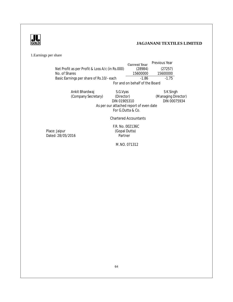

1.Earnings per share

|                                                 | <b>Current Year</b>            | Previous Year |  |
|-------------------------------------------------|--------------------------------|---------------|--|
| Net Profit as per Profit & Loss A/c (in Rs.000) | (28984)                        | (27257)       |  |
| No. of Shares                                   | 15600000                       | 15600000      |  |
| Basic Earnings per share of Rs.10/- each        | -1 86                          | $-175$        |  |
|                                                 | For and on behalf of the Board |               |  |

Ankit Bhardwaj S.G.Vyas S.G.Vores S.G.Vores S.G.Vores S.G.Vyas S.K.Singh<br>(Company Secretary) (Director) (Managing Dire (Company Secretary) (Director)<br>DIN 01905310 (Managing Director)<br>DIN 00075934 As per our attached report of even date For G.Dutta & Co.

Chartered Accountants

Place: Jaipur Dated: 28/05/2016 F.R. No. 002136C (Gopal Dutta)

M.NO. 071312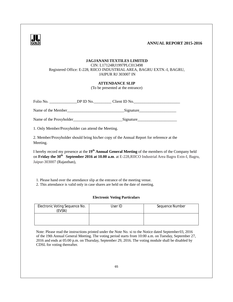### **GOLD ANNUAL REPORT 2015-2016**

### **JAGJANANI TEXTILES LIMITED**

CIN: L17124RJ1997PLC013498 Registered Office: E-228, RIICO INDUSTRIAL AREA, BAGRU EXTN.-I, BAGRU, JAIPUR RJ 303007 IN

### **ATTENDANCE SLIP**

(To be presented at the entrance)

| Folio No.          | DP ID No. | Client ID No. |  |
|--------------------|-----------|---------------|--|
| Name of the Member |           | Signature     |  |

Name of the Proxyholder\_\_\_\_\_\_\_\_\_\_\_\_\_\_\_\_\_\_\_\_\_\_\_\_\_Signature\_\_\_\_\_\_\_\_\_\_\_\_\_\_\_\_\_\_\_\_

1. Only Member/Proxyholder can attend the Meeting.

2. Member/Proxyholder should bring his/her copy of the Annual Report for reference at the Meeting.

I hereby record my presence at the **19th Annual General Meeting** of the members of the Company held on **Friday the 30th September 2016 at 10.00 a.m**. at E-228,RIICO Industrial Area Bagru Extn-I, Bagru,  Jaipur-303007 (Rajasthan),

1. Please hand over the attendance slip at the entrance of the meeting venue.

2. This attendance is valid only in case shares are held on the date of meeting.

### **Electronic Voting Particulars**

| Electronic Voting Sequence No.<br><b>EVSN)</b> | User ID | Sequence Number |
|------------------------------------------------|---------|-----------------|
|                                                |         |                 |

Note: Please read the instructions printed under the Note No. xi to the Notice dated September 03, 2016 of the 19th Annual General Meeting. The voting period starts from 10:00 a.m. on Tuesday, September 27, 2016 and ends at 05:00 p.m. on Thursday, September 29, 2016. The voting module shall be disabled by CDSL for voting thereafter.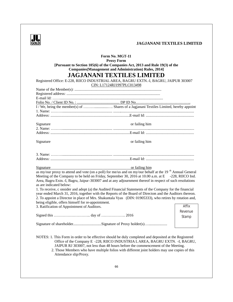

| Form No. MGT-11<br><b>Proxy Form</b><br>[Pursuant to Section 105(6) of the Companies Act, 2013 and Rule 19(3) of the<br><b>Companies</b> (Management and Administration) Rules, 2014]<br><b>JAGJANANI TEXTILES LIMITED</b><br>Registered Office: E-228, RIICO INDUSTRIAL AREA, BAGRU EXTN.-I, BAGRU, JAIPUR 303007                                                                                                                                                                                                                                                                                                                                                                                                                                                                        |         |  |  |  |
|-------------------------------------------------------------------------------------------------------------------------------------------------------------------------------------------------------------------------------------------------------------------------------------------------------------------------------------------------------------------------------------------------------------------------------------------------------------------------------------------------------------------------------------------------------------------------------------------------------------------------------------------------------------------------------------------------------------------------------------------------------------------------------------------|---------|--|--|--|
| CIN: L17124RJ1997PLC013498                                                                                                                                                                                                                                                                                                                                                                                                                                                                                                                                                                                                                                                                                                                                                                |         |  |  |  |
|                                                                                                                                                                                                                                                                                                                                                                                                                                                                                                                                                                                                                                                                                                                                                                                           |         |  |  |  |
|                                                                                                                                                                                                                                                                                                                                                                                                                                                                                                                                                                                                                                                                                                                                                                                           |         |  |  |  |
|                                                                                                                                                                                                                                                                                                                                                                                                                                                                                                                                                                                                                                                                                                                                                                                           |         |  |  |  |
|                                                                                                                                                                                                                                                                                                                                                                                                                                                                                                                                                                                                                                                                                                                                                                                           |         |  |  |  |
| Signature<br>or failing him                                                                                                                                                                                                                                                                                                                                                                                                                                                                                                                                                                                                                                                                                                                                                               |         |  |  |  |
|                                                                                                                                                                                                                                                                                                                                                                                                                                                                                                                                                                                                                                                                                                                                                                                           |         |  |  |  |
| Signature<br>or failing him                                                                                                                                                                                                                                                                                                                                                                                                                                                                                                                                                                                                                                                                                                                                                               |         |  |  |  |
|                                                                                                                                                                                                                                                                                                                                                                                                                                                                                                                                                                                                                                                                                                                                                                                           |         |  |  |  |
| Signature<br>or failing him<br>as my/our proxy to attend and vote (on a poll) for me/us and on my/our behalf at the 19 <sup>th</sup> Annual General<br>Meeting of the Company to be held on Friday, September 30, 2016 at 10.00 a.m. at E -228, RIICO Ind.<br>Area, Bagru Extn.-I, Bagru, Jaipur-303007 and at any adjournment thereof in respect of such resolutions<br>as are indicated below:<br>1. To receive, c onsider and adopt (a) the Audited Financial Statements of the Company for the financial<br>year ended March 31, 2016, together with the Reports of the Board of Directors and the Auditors thereon.<br>2. To appoint a Director in place of Mrs. Shakuntala Vyas (DIN: 01905333), who retires by rotation and,<br>being eligible, offers himself for re-appointment. |         |  |  |  |
| 3. Ratification of Appointment of Auditors.                                                                                                                                                                                                                                                                                                                                                                                                                                                                                                                                                                                                                                                                                                                                               | Affix   |  |  |  |
|                                                                                                                                                                                                                                                                                                                                                                                                                                                                                                                                                                                                                                                                                                                                                                                           | Revenue |  |  |  |
|                                                                                                                                                                                                                                                                                                                                                                                                                                                                                                                                                                                                                                                                                                                                                                                           | Stamp   |  |  |  |
| Signature of shareholderSignature of Proxy holder(s)                                                                                                                                                                                                                                                                                                                                                                                                                                                                                                                                                                                                                                                                                                                                      |         |  |  |  |
| NOTES: 1. This Form in order to be effective should be duly completed and deposited at the Registered<br>Office of the Company E -228, RIICO INDUSTRIA LAREA, BAGRU EXTN. -I, BAGRU,<br>JAIPUR RJ 303007, not less than 48 hours before the commencement of the Meeting.<br>2. Those Members who have multiple folios with different joint holders may use copies of this<br>Attendance slip/Proxy.                                                                                                                                                                                                                                                                                                                                                                                       |         |  |  |  |